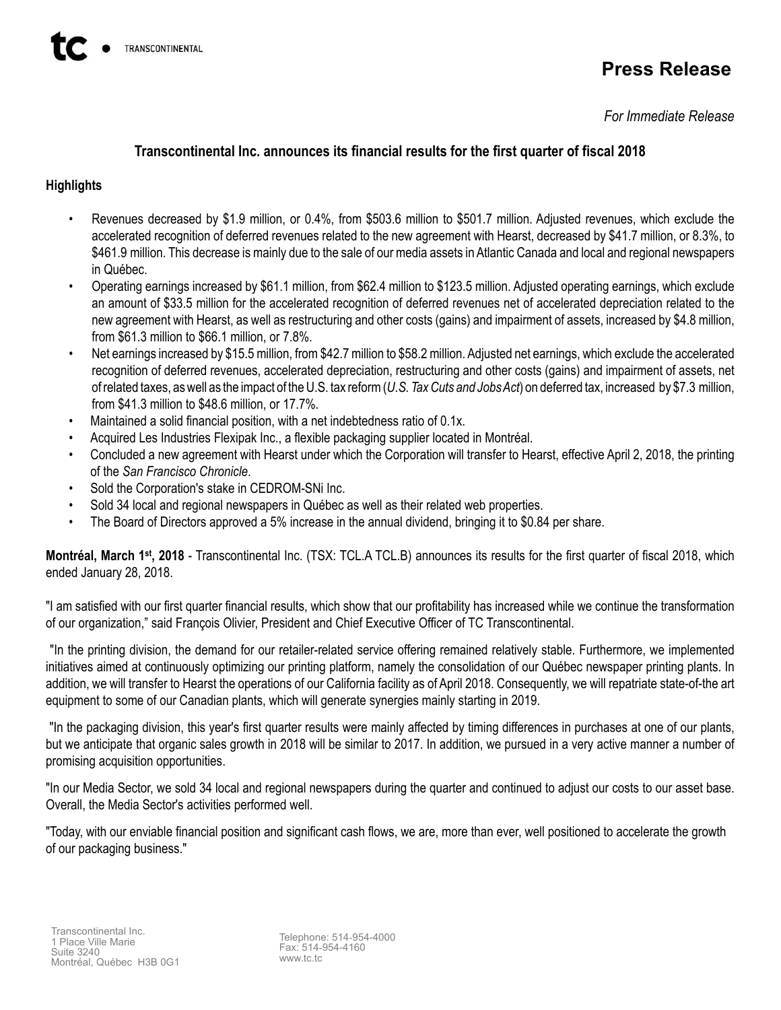# **Press Release**

*For Immediate Release*

## **Transcontinental Inc. announces its financial results for the first quarter of fiscal 2018**

## **Highlights**

- Revenues decreased by \$1.9 million, or 0.4%, from \$503.6 million to \$501.7 million. Adjusted revenues, which exclude the accelerated recognition of deferred revenues related to the new agreement with Hearst, decreased by \$41.7 million, or 8.3%, to \$461.9 million. This decrease is mainly due to the sale of our media assets in Atlantic Canada and local and regional newspapers in Québec.
- Operating earnings increased by \$61.1 million, from \$62.4 million to \$123.5 million. Adjusted operating earnings, which exclude an amount of \$33.5 million for the accelerated recognition of deferred revenues net of accelerated depreciation related to the new agreement with Hearst, as well as restructuring and other costs (gains) and impairment of assets, increased by \$4.8 million, from \$61.3 million to \$66.1 million, or 7.8%.
- Net earnings increased by \$15.5 million, from \$42.7 million to \$58.2 million. Adjusted net earnings, which exclude the accelerated recognition of deferred revenues, accelerated depreciation, restructuring and other costs (gains) and impairment of assets, net of related taxes, as well as the impact of the U.S. tax reform (*U.S. Tax Cuts and Jobs Act*) on deferred tax, increased by \$7.3 million, from \$41.3 million to \$48.6 million, or 17.7%.
- Maintained a solid financial position, with a net indebtedness ratio of 0.1x.
- Acquired Les Industries Flexipak Inc., a flexible packaging supplier located in Montréal.
- Concluded a new agreement with Hearst under which the Corporation will transfer to Hearst, effective April 2, 2018, the printing of the *San Francisco Chronicle*.
- Sold the Corporation's stake in CEDROM-SNi Inc.
- Sold 34 local and regional newspapers in Québec as well as their related web properties.
- The Board of Directors approved a 5% increase in the annual dividend, bringing it to \$0.84 per share.

Montréal, March 1<sup>st</sup>, 2018 - Transcontinental Inc. (TSX: TCL.A TCL.B) announces its results for the first quarter of fiscal 2018, which ended January 28, 2018.

"I am satisfied with our first quarter financial results, which show that our profitability has increased while we continue the transformation of our organization," said François Olivier, President and Chief Executive Officer of TC Transcontinental.

"In the printing division, the demand for our retailer-related service offering remained relatively stable. Furthermore, we implemented initiatives aimed at continuously optimizing our printing platform, namely the consolidation of our Québec newspaper printing plants. In addition, we will transfer to Hearst the operations of our California facility as of April 2018. Consequently, we will repatriate state-of-the art equipment to some of our Canadian plants, which will generate synergies mainly starting in 2019.

"In the packaging division, this year's first quarter results were mainly affected by timing differences in purchases at one of our plants, but we anticipate that organic sales growth in 2018 will be similar to 2017. In addition, we pursued in a very active manner a number of promising acquisition opportunities.

"In our Media Sector, we sold 34 local and regional newspapers during the quarter and continued to adjust our costs to our asset base. Overall, the Media Sector's activities performed well.

"Today, with our enviable financial position and significant cash flows, we are, more than ever, well positioned to accelerate the growth of our packaging business."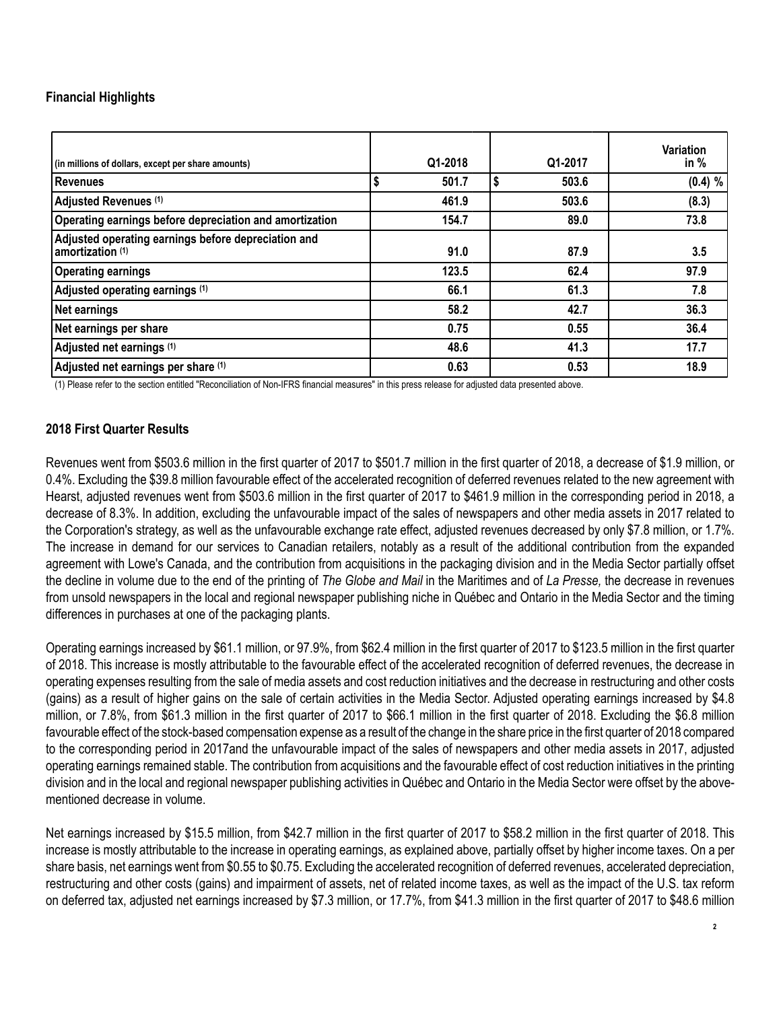## **Financial Highlights**

| (in millions of dollars, except per share amounts)                        | Q1-2018 | Q1-2017 | <b>Variation</b><br>in $%$ |
|---------------------------------------------------------------------------|---------|---------|----------------------------|
| <b>Revenues</b>                                                           | 501.7   | 503.6   | (0.4) %                    |
| Adjusted Revenues (1)                                                     | 461.9   | 503.6   | (8.3)                      |
| Operating earnings before depreciation and amortization                   | 154.7   | 89.0    | 73.8                       |
| Adjusted operating earnings before depreciation and<br>amortization $(1)$ | 91.0    | 87.9    | 3.5                        |
| <b>Operating earnings</b>                                                 | 123.5   | 62.4    | 97.9                       |
| Adjusted operating earnings (1)                                           | 66.1    | 61.3    | 7.8                        |
| Net earnings                                                              | 58.2    | 42.7    | 36.3                       |
| Net earnings per share                                                    | 0.75    | 0.55    | 36.4                       |
| Adjusted net earnings (1)                                                 | 48.6    | 41.3    | 17.7                       |
| Adjusted net earnings per share (1)                                       | 0.63    | 0.53    | 18.9                       |

(1) Please refer to the section entitled "Reconciliation of Non-IFRS financial measures" in this press release for adjusted data presented above.

### **2018 First Quarter Results**

Revenues went from \$503.6 million in the first quarter of 2017 to \$501.7 million in the first quarter of 2018, a decrease of \$1.9 million, or 0.4%. Excluding the \$39.8 million favourable effect of the accelerated recognition of deferred revenues related to the new agreement with Hearst, adjusted revenues went from \$503.6 million in the first quarter of 2017 to \$461.9 million in the corresponding period in 2018, a decrease of 8.3%. In addition, excluding the unfavourable impact of the sales of newspapers and other media assets in 2017 related to the Corporation's strategy, as well as the unfavourable exchange rate effect, adjusted revenues decreased by only \$7.8 million, or 1.7%. The increase in demand for our services to Canadian retailers, notably as a result of the additional contribution from the expanded agreement with Lowe's Canada, and the contribution from acquisitions in the packaging division and in the Media Sector partially offset the decline in volume due to the end of the printing of *The Globe and Mail* in the Maritimes and of *La Presse,* the decrease in revenues from unsold newspapers in the local and regional newspaper publishing niche in Québec and Ontario in the Media Sector and the timing differences in purchases at one of the packaging plants.

Operating earnings increased by \$61.1 million, or 97.9%, from \$62.4 million in the first quarter of 2017 to \$123.5 million in the first quarter of 2018. This increase is mostly attributable to the favourable effect of the accelerated recognition of deferred revenues, the decrease in operating expenses resulting from the sale of media assets and cost reduction initiatives and the decrease in restructuring and other costs (gains) as a result of higher gains on the sale of certain activities in the Media Sector. Adjusted operating earnings increased by \$4.8 million, or 7.8%, from \$61.3 million in the first quarter of 2017 to \$66.1 million in the first quarter of 2018. Excluding the \$6.8 million favourable effect of the stock-based compensation expense as a result of the change in the share price in the first quarter of 2018 compared to the corresponding period in 2017and the unfavourable impact of the sales of newspapers and other media assets in 2017, adjusted operating earnings remained stable. The contribution from acquisitions and the favourable effect of cost reduction initiatives in the printing division and in the local and regional newspaper publishing activities in Québec and Ontario in the Media Sector were offset by the abovementioned decrease in volume.

Net earnings increased by \$15.5 million, from \$42.7 million in the first quarter of 2017 to \$58.2 million in the first quarter of 2018. This increase is mostly attributable to the increase in operating earnings, as explained above, partially offset by higher income taxes. On a per share basis, net earnings went from \$0.55 to \$0.75. Excluding the accelerated recognition of deferred revenues, accelerated depreciation, restructuring and other costs (gains) and impairment of assets, net of related income taxes, as well as the impact of the U.S. tax reform on deferred tax, adjusted net earnings increased by \$7.3 million, or 17.7%, from \$41.3 million in the first quarter of 2017 to \$48.6 million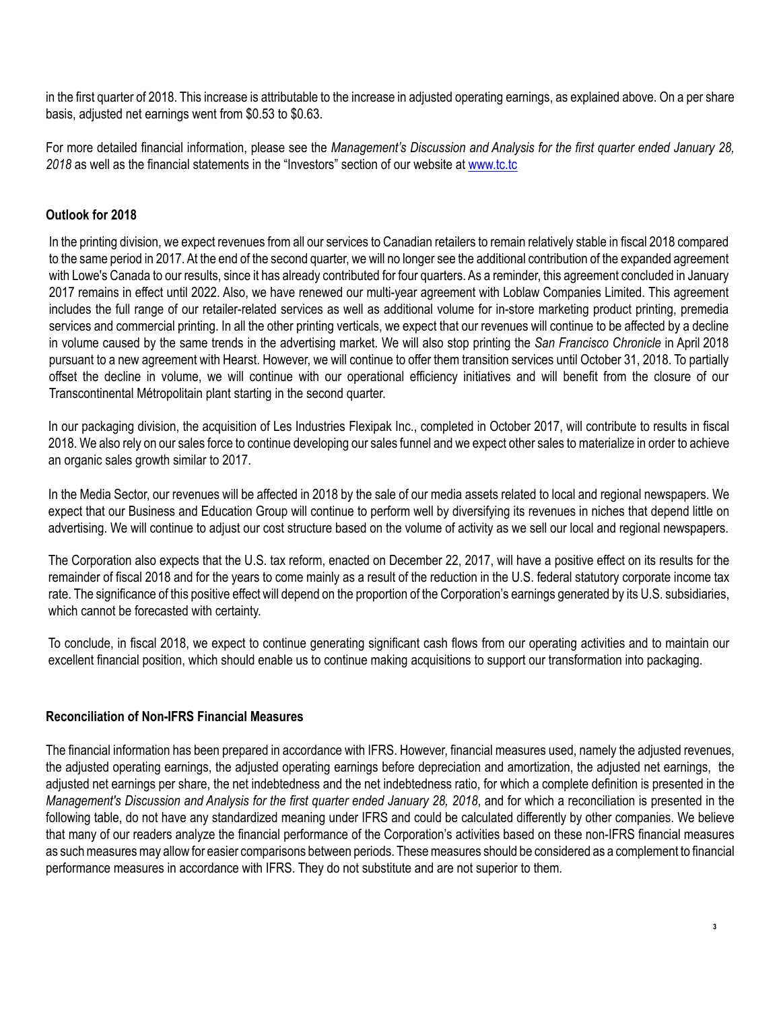in the first quarter of 2018. This increase is attributable to the increase in adjusted operating earnings, as explained above. On a per share basis, adjusted net earnings went from \$0.53 to \$0.63.

For more detailed financial information, please see the *Management's Discussion and Analysis for the first quarter ended January 28, 2018* as well as the financial statements in the "Investors" section of our website at www.tc.tc

## **Outlook for 2018**

In the printing division, we expect revenues from all our services to Canadian retailers to remain relatively stable in fiscal 2018 compared to the same period in 2017. At the end of the second quarter, we will no longer see the additional contribution of the expanded agreement with Lowe's Canada to our results, since it has already contributed for four quarters. As a reminder, this agreement concluded in January 2017 remains in effect until 2022. Also, we have renewed our multi-year agreement with Loblaw Companies Limited. This agreement includes the full range of our retailer-related services as well as additional volume for in-store marketing product printing, premedia services and commercial printing. In all the other printing verticals, we expect that our revenues will continue to be affected by a decline in volume caused by the same trends in the advertising market. We will also stop printing the *San Francisco Chronicle* in April 2018 pursuant to a new agreement with Hearst. However, we will continue to offer them transition services until October 31, 2018. To partially offset the decline in volume, we will continue with our operational efficiency initiatives and will benefit from the closure of our Transcontinental Métropolitain plant starting in the second quarter.

In our packaging division, the acquisition of Les Industries Flexipak Inc., completed in October 2017, will contribute to results in fiscal 2018. We also rely on our sales force to continue developing our sales funnel and we expect other sales to materialize in order to achieve an organic sales growth similar to 2017.

In the Media Sector, our revenues will be affected in 2018 by the sale of our media assets related to local and regional newspapers. We expect that our Business and Education Group will continue to perform well by diversifying its revenues in niches that depend little on advertising. We will continue to adjust our cost structure based on the volume of activity as we sell our local and regional newspapers.

The Corporation also expects that the U.S. tax reform, enacted on December 22, 2017, will have a positive effect on its results for the remainder of fiscal 2018 and for the years to come mainly as a result of the reduction in the U.S. federal statutory corporate income tax rate. The significance of this positive effect will depend on the proportion of the Corporation's earnings generated by its U.S. subsidiaries, which cannot be forecasted with certainty.

To conclude, in fiscal 2018, we expect to continue generating significant cash flows from our operating activities and to maintain our excellent financial position, which should enable us to continue making acquisitions to support our transformation into packaging.

### **Reconciliation of Non-IFRS Financial Measures**

The financial information has been prepared in accordance with IFRS. However, financial measures used, namely the adjusted revenues, the adjusted operating earnings, the adjusted operating earnings before depreciation and amortization, the adjusted net earnings, the adjusted net earnings per share, the net indebtedness and the net indebtedness ratio, for which a complete definition is presented in the *Management's Discussion and Analysis for the first quarter ended January 28, 2018*, and for which a reconciliation is presented in the following table, do not have any standardized meaning under IFRS and could be calculated differently by other companies. We believe that many of our readers analyze the financial performance of the Corporation's activities based on these non-IFRS financial measures as such measures may allow for easier comparisons between periods. These measures should be considered as a complement to financial performance measures in accordance with IFRS. They do not substitute and are not superior to them.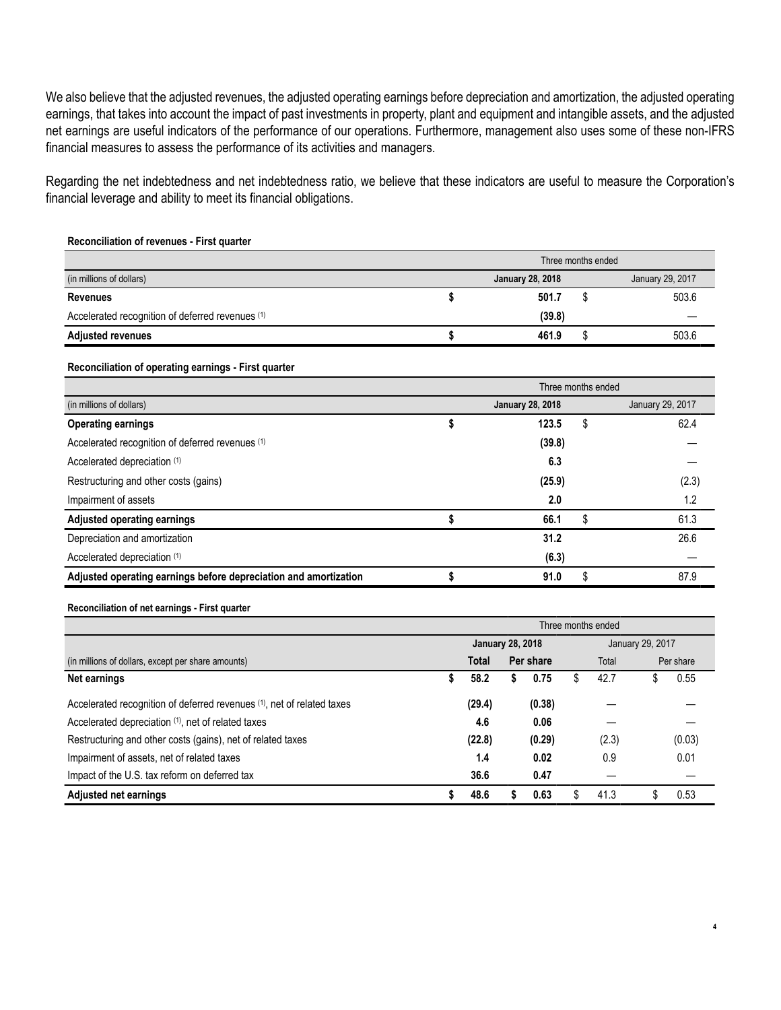We also believe that the adjusted revenues, the adjusted operating earnings before depreciation and amortization, the adjusted operating earnings, that takes into account the impact of past investments in property, plant and equipment and intangible assets, and the adjusted net earnings are useful indicators of the performance of our operations. Furthermore, management also uses some of these non-IFRS financial measures to assess the performance of its activities and managers.

Regarding the net indebtedness and net indebtedness ratio, we believe that these indicators are useful to measure the Corporation's financial leverage and ability to meet its financial obligations.

#### **Reconciliation of revenues - First quarter**

|                                                  | Three months ended |                         |  |                  |  |  |  |  |  |  |
|--------------------------------------------------|--------------------|-------------------------|--|------------------|--|--|--|--|--|--|
| (in millions of dollars)                         |                    | <b>January 28, 2018</b> |  | January 29, 2017 |  |  |  |  |  |  |
| <b>Revenues</b>                                  |                    | 501.7                   |  | 503.6            |  |  |  |  |  |  |
| Accelerated recognition of deferred revenues (1) |                    | (39.8)                  |  |                  |  |  |  |  |  |  |
| <b>Adjusted revenues</b>                         |                    | 461.9                   |  | 503.6            |  |  |  |  |  |  |

#### **Reconciliation of operating earnings - First quarter**

|                                                                  | Three months ended |                         |    |                  |  |  |  |  |  |  |  |
|------------------------------------------------------------------|--------------------|-------------------------|----|------------------|--|--|--|--|--|--|--|
| (in millions of dollars)                                         |                    | <b>January 28, 2018</b> |    | January 29, 2017 |  |  |  |  |  |  |  |
| <b>Operating earnings</b>                                        | Φ                  | 123.5                   | S  | 62.4             |  |  |  |  |  |  |  |
| Accelerated recognition of deferred revenues (1)                 |                    | (39.8)                  |    |                  |  |  |  |  |  |  |  |
| Accelerated depreciation (1)                                     |                    | 6.3                     |    |                  |  |  |  |  |  |  |  |
| Restructuring and other costs (gains)                            |                    | (25.9)                  |    | (2.3)            |  |  |  |  |  |  |  |
| Impairment of assets                                             |                    | 2.0                     |    | 1.2              |  |  |  |  |  |  |  |
| <b>Adjusted operating earnings</b>                               |                    | 66.1                    | \$ | 61.3             |  |  |  |  |  |  |  |
| Depreciation and amortization                                    |                    | 31.2                    |    | 26.6             |  |  |  |  |  |  |  |
| Accelerated depreciation (1)                                     |                    | (6.3)                   |    |                  |  |  |  |  |  |  |  |
| Adjusted operating earnings before depreciation and amortization |                    | 91.0                    | S  | 87.9             |  |  |  |  |  |  |  |

#### **Reconciliation of net earnings - First quarter**

|                                                                        | Three months ended |                         |  |           |                  |       |   |           |  |  |  |  |  |
|------------------------------------------------------------------------|--------------------|-------------------------|--|-----------|------------------|-------|---|-----------|--|--|--|--|--|
|                                                                        |                    | <b>January 28, 2018</b> |  |           | January 29, 2017 |       |   |           |  |  |  |  |  |
| (in millions of dollars, except per share amounts)                     | <b>Total</b>       |                         |  | Per share |                  | Total |   | Per share |  |  |  |  |  |
| Net earnings                                                           | 5                  | 58.2                    |  | 0.75      | S                | 42.7  | S | 0.55      |  |  |  |  |  |
| Accelerated recognition of deferred revenues (1), net of related taxes |                    | (29.4)                  |  | (0.38)    |                  |       |   |           |  |  |  |  |  |
| Accelerated depreciation (1), net of related taxes                     |                    | 4.6                     |  | 0.06      |                  |       |   |           |  |  |  |  |  |
| Restructuring and other costs (gains), net of related taxes            |                    | (22.8)                  |  | (0.29)    |                  | (2.3) |   | (0.03)    |  |  |  |  |  |
| Impairment of assets, net of related taxes                             |                    | 1.4                     |  | 0.02      |                  | 0.9   |   | 0.01      |  |  |  |  |  |
| Impact of the U.S. tax reform on deferred tax                          |                    | 36.6                    |  | 0.47      |                  |       |   |           |  |  |  |  |  |
| <b>Adjusted net earnings</b>                                           |                    | 48.6                    |  | 0.63      |                  | 41.3  |   | 0.53      |  |  |  |  |  |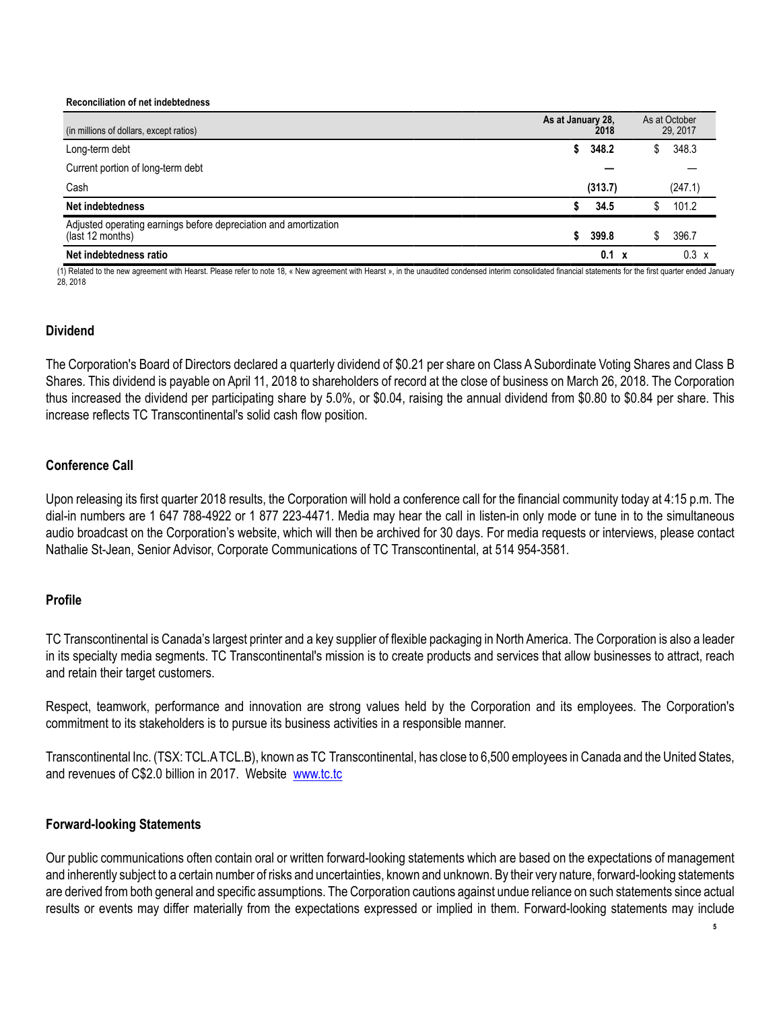#### **Reconciliation of net indebtedness**

| (in millions of dollars, except ratios)                                              | As at January 28,<br>2018 | As at October<br>29, 2017 |
|--------------------------------------------------------------------------------------|---------------------------|---------------------------|
| Long-term debt                                                                       | 348.2<br>S.               | 348.3<br>S.               |
| Current portion of long-term debt                                                    |                           |                           |
| Cash                                                                                 | (313.7)                   | (247.1)                   |
| Net indebtedness                                                                     | 34.5                      | 101.2                     |
| Adjusted operating earnings before depreciation and amortization<br>(last 12 months) | \$<br>399.8               | 396.7                     |
| Net indebtedness ratio                                                               | 0.1<br>$\boldsymbol{x}$   | 0.3<br>X                  |

(1) Related to the new agreement with Hearst. Please refer to note 18, « New agreement with Hearst », in the unaudited condensed interim consolidated financial statements for the first quarter ended January 28, 2018

### **Dividend**

The Corporation's Board of Directors declared a quarterly dividend of \$0.21 per share on Class A Subordinate Voting Shares and Class B Shares. This dividend is payable on April 11, 2018 to shareholders of record at the close of business on March 26, 2018. The Corporation thus increased the dividend per participating share by 5.0%, or \$0.04, raising the annual dividend from \$0.80 to \$0.84 per share. This increase reflects TC Transcontinental's solid cash flow position.

### **Conference Call**

Upon releasing its first quarter 2018 results, the Corporation will hold a conference call for the financial community today at 4:15 p.m. The dial-in numbers are 1 647 788-4922 or 1 877 223-4471. Media may hear the call in listen-in only mode or tune in to the simultaneous audio broadcast on the Corporation's website, which will then be archived for 30 days. For media requests or interviews, please contact Nathalie St-Jean, Senior Advisor, Corporate Communications of TC Transcontinental, at 514 954-3581.

### **Profile**

TC Transcontinental is Canada's largest printer and a key supplier of flexible packaging in North America. The Corporation is also a leader in its specialty media segments. TC Transcontinental's mission is to create products and services that allow businesses to attract, reach and retain their target customers.

Respect, teamwork, performance and innovation are strong values held by the Corporation and its employees. The Corporation's commitment to its stakeholders is to pursue its business activities in a responsible manner.

Transcontinental Inc. (TSX: TCL.ATCL.B), known as TC Transcontinental, has close to 6,500 employees in Canada and the United States, and revenues of C\$2.0 billion in 2017. Website www.tc.tc

### **Forward-looking Statements**

Our public communications often contain oral or written forward-looking statements which are based on the expectations of management and inherently subject to a certain number of risks and uncertainties, known and unknown. By their very nature, forward-looking statements are derived from both general and specific assumptions. The Corporation cautions against undue reliance on such statements since actual results or events may differ materially from the expectations expressed or implied in them. Forward-looking statements may include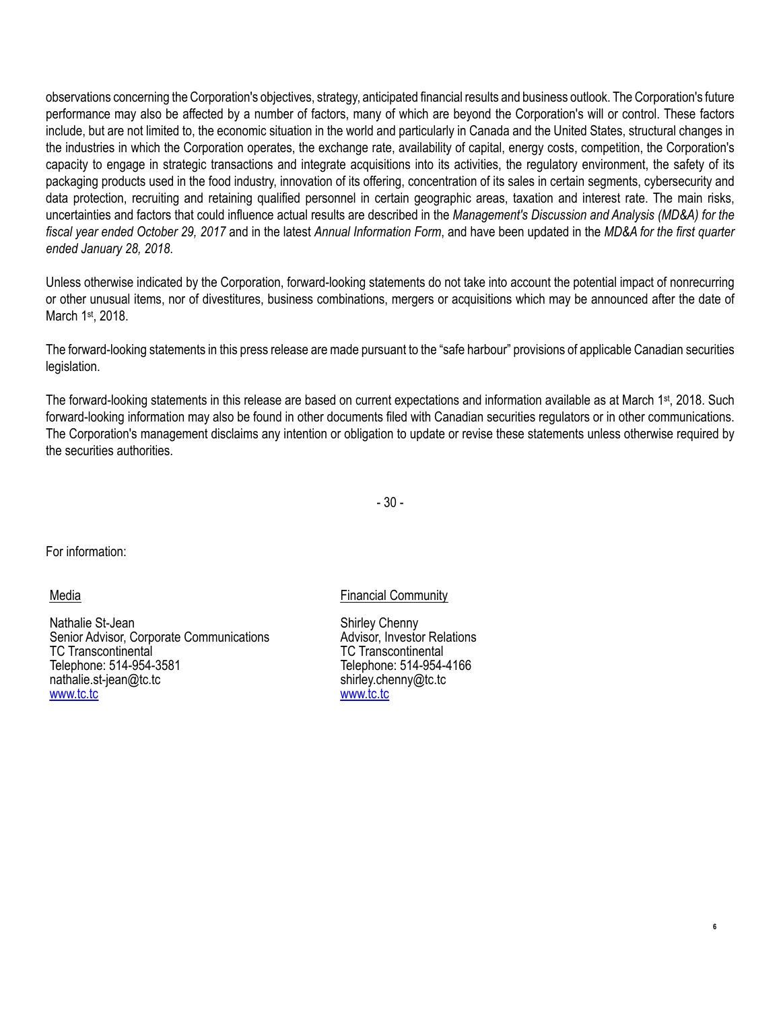observations concerning the Corporation's objectives, strategy, anticipated financial results and business outlook. The Corporation's future performance may also be affected by a number of factors, many of which are beyond the Corporation's will or control. These factors include, but are not limited to, the economic situation in the world and particularly in Canada and the United States, structural changes in the industries in which the Corporation operates, the exchange rate, availability of capital, energy costs, competition, the Corporation's capacity to engage in strategic transactions and integrate acquisitions into its activities, the regulatory environment, the safety of its packaging products used in the food industry, innovation of its offering, concentration of its sales in certain segments, cybersecurity and data protection, recruiting and retaining qualified personnel in certain geographic areas, taxation and interest rate. The main risks, uncertainties and factors that could influence actual results are described in the *Management's Discussion and Analysis (MD&A) for the fiscal year ended October 29, 2017* and in the latest *Annual Information Form*, and have been updated in the *MD&A for the first quarter ended January 28, 2018*.

Unless otherwise indicated by the Corporation, forward-looking statements do not take into account the potential impact of nonrecurring or other unusual items, nor of divestitures, business combinations, mergers or acquisitions which may be announced after the date of March 1st, 2018.

The forward-looking statements in this press release are made pursuant to the "safe harbour" provisions of applicable Canadian securities legislation.

The forward-looking statements in this release are based on current expectations and information available as at March 1<sup>st</sup>, 2018. Such forward-looking information may also be found in other documents filed with Canadian securities regulators or in other communications. The Corporation's management disclaims any intention or obligation to update or revise these statements unless otherwise required by the securities authorities.

- 30 -

For information:

Media

Nathalie St-Jean Senior Advisor, Corporate Communications TC Transcontinental Telephone: 514-954-3581 nathalie.st-jean@tc.tc www.tc.tc

Financial Community

Shirley Chenny Advisor, Investor Relations TC Transcontinental Telephone: 514-954-4166 shirley.chenny@tc.tc www.tc.tc

**6**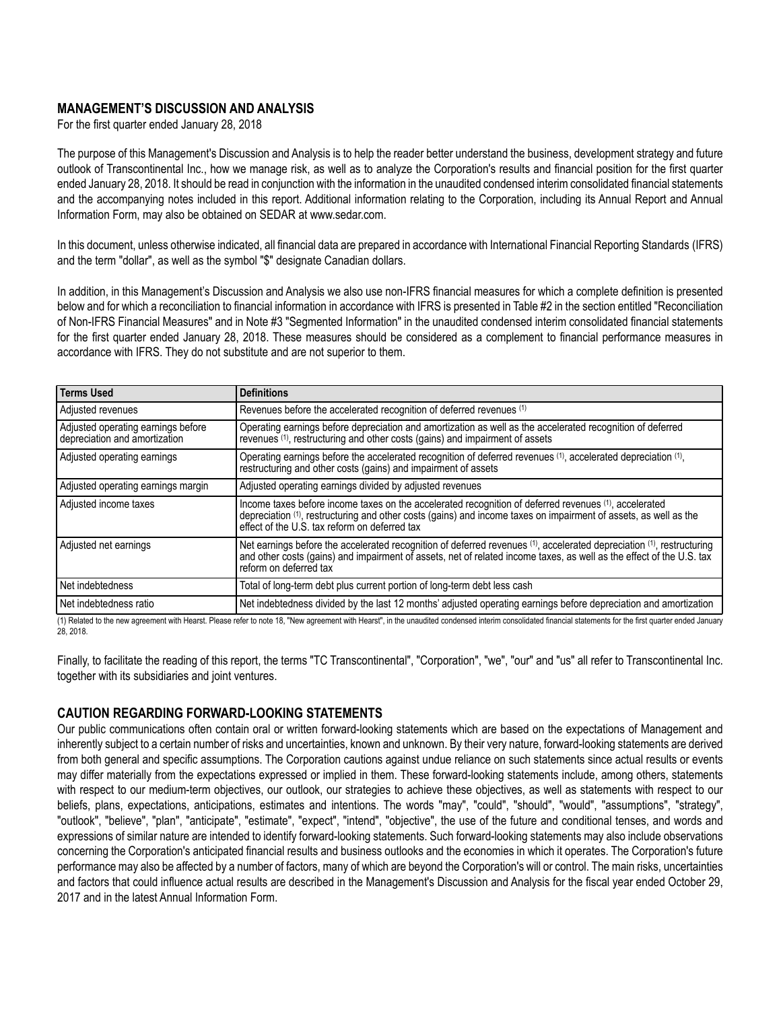### **MANAGEMENT'S DISCUSSION AND ANALYSIS**

For the first quarter ended January 28, 2018

The purpose of this Management's Discussion and Analysis is to help the reader better understand the business, development strategy and future outlook of Transcontinental Inc., how we manage risk, as well as to analyze the Corporation's results and financial position for the first quarter ended January 28, 2018. It should be read in conjunction with the information in the unaudited condensed interim consolidated financial statements and the accompanying notes included in this report. Additional information relating to the Corporation, including its Annual Report and Annual Information Form, may also be obtained on SEDAR at www.sedar.com.

In this document, unless otherwise indicated, all financial data are prepared in accordance with International Financial Reporting Standards (IFRS) and the term "dollar", as well as the symbol "\$" designate Canadian dollars.

In addition, in this Management's Discussion and Analysis we also use non-IFRS financial measures for which a complete definition is presented below and for which a reconciliation to financial information in accordance with IFRS is presented in Table #2 in the section entitled "Reconciliation of Non-IFRS Financial Measures" and in Note #3 "Segmented Information" in the unaudited condensed interim consolidated financial statements for the first quarter ended January 28, 2018. These measures should be considered as a complement to financial performance measures in accordance with IFRS. They do not substitute and are not superior to them.

| <b>Terms Used</b>                                                   | <b>Definitions</b>                                                                                                                                                                                                                                                         |
|---------------------------------------------------------------------|----------------------------------------------------------------------------------------------------------------------------------------------------------------------------------------------------------------------------------------------------------------------------|
| Adjusted revenues                                                   | Revenues before the accelerated recognition of deferred revenues (1)                                                                                                                                                                                                       |
| Adjusted operating earnings before<br>depreciation and amortization | Operating earnings before depreciation and amortization as well as the accelerated recognition of deferred<br>revenues (1), restructuring and other costs (gains) and impairment of assets                                                                                 |
| Adjusted operating earnings                                         | Operating earnings before the accelerated recognition of deferred revenues (1), accelerated depreciation (1),<br>restructuring and other costs (gains) and impairment of assets                                                                                            |
| Adjusted operating earnings margin                                  | Adjusted operating earnings divided by adjusted revenues                                                                                                                                                                                                                   |
| Adjusted income taxes                                               | Income taxes before income taxes on the accelerated recognition of deferred revenues (1), accelerated<br>depreciation (1), restructuring and other costs (gains) and income taxes on impairment of assets, as well as the<br>effect of the U.S. tax reform on deferred tax |
| Adjusted net earnings                                               | Net earnings before the accelerated recognition of deferred revenues (1), accelerated depreciation (1), restructuring<br>and other costs (gains) and impairment of assets, net of related income taxes, as well as the effect of<br>reform on deferred tax                 |
| Net indebtedness                                                    | Total of long-term debt plus current portion of long-term debt less cash                                                                                                                                                                                                   |
| Net indebtedness ratio                                              | Net indebtedness divided by the last 12 months' adjusted operating earnings before depreciation and amortization                                                                                                                                                           |

(1) Related to the new agreement with Hearst. Please refer to note 18, "New agreement with Hearst", in the unaudited condensed interim consolidated financial statements for the first quarter ended January 28, 2018.

Finally, to facilitate the reading of this report, the terms "TC Transcontinental", "Corporation", "we", "our" and "us" all refer to Transcontinental Inc. together with its subsidiaries and joint ventures.

## **CAUTION REGARDING FORWARD-LOOKING STATEMENTS**

Our public communications often contain oral or written forward-looking statements which are based on the expectations of Management and inherently subject to a certain number of risks and uncertainties, known and unknown. By their very nature, forward-looking statements are derived from both general and specific assumptions. The Corporation cautions against undue reliance on such statements since actual results or events may differ materially from the expectations expressed or implied in them. These forward-looking statements include, among others, statements with respect to our medium-term objectives, our outlook, our strategies to achieve these objectives, as well as statements with respect to our beliefs, plans, expectations, anticipations, estimates and intentions. The words "may", "could", "should", "would", "assumptions", "strategy", "outlook", "believe", "plan", "anticipate", "estimate", "expect", "intend", "objective", the use of the future and conditional tenses, and words and expressions of similar nature are intended to identify forward-looking statements. Such forward-looking statements may also include observations concerning the Corporation's anticipated financial results and business outlooks and the economies in which it operates. The Corporation's future performance may also be affected by a number of factors, many of which are beyond the Corporation's will or control. The main risks, uncertainties and factors that could influence actual results are described in the Management's Discussion and Analysis for the fiscal year ended October 29, 2017 and in the latest Annual Information Form.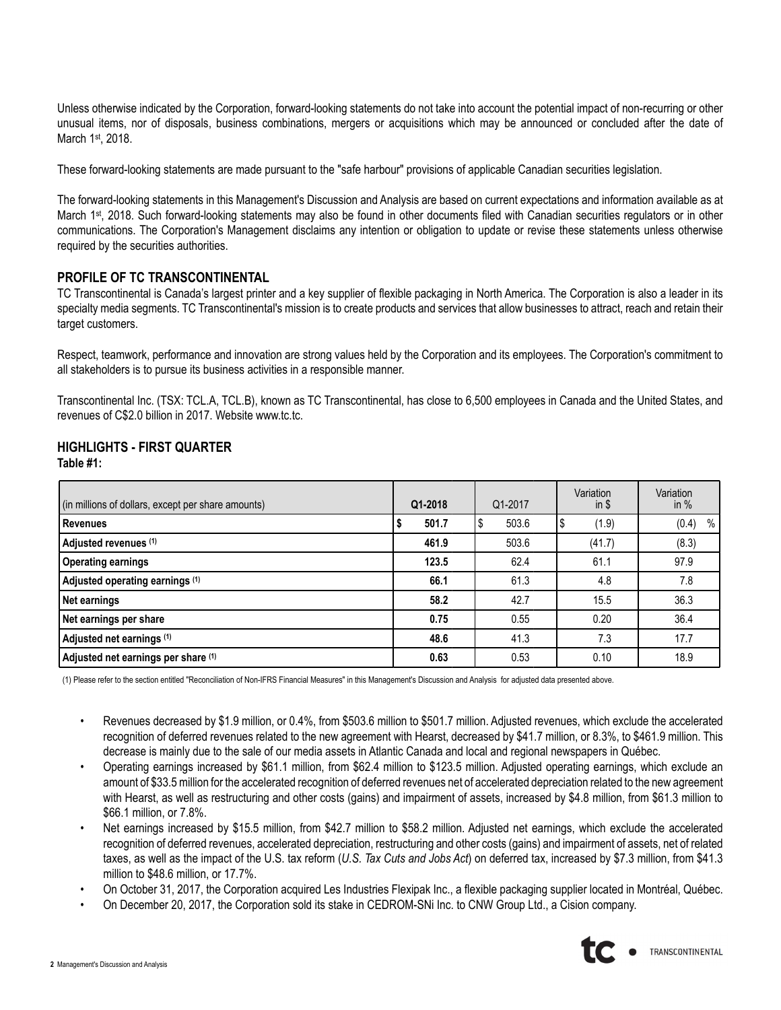Unless otherwise indicated by the Corporation, forward-looking statements do not take into account the potential impact of non-recurring or other unusual items, nor of disposals, business combinations, mergers or acquisitions which may be announced or concluded after the date of March 1st, 2018.

These forward-looking statements are made pursuant to the "safe harbour" provisions of applicable Canadian securities legislation.

The forward-looking statements in this Management's Discussion and Analysis are based on current expectations and information available as at March 1st, 2018. Such forward-looking statements may also be found in other documents filed with Canadian securities regulators or in other communications. The Corporation's Management disclaims any intention or obligation to update or revise these statements unless otherwise required by the securities authorities.

### **PROFILE OF TC TRANSCONTINENTAL**

TC Transcontinental is Canada's largest printer and a key supplier of flexible packaging in North America. The Corporation is also a leader in its specialty media segments. TC Transcontinental's mission is to create products and services that allow businesses to attract, reach and retain their target customers.

Respect, teamwork, performance and innovation are strong values held by the Corporation and its employees. The Corporation's commitment to all stakeholders is to pursue its business activities in a responsible manner.

Transcontinental Inc. (TSX: TCL.A, TCL.B), known as TC Transcontinental, has close to 6,500 employees in Canada and the United States, and revenues of C\$2.0 billion in 2017. Website www.tc.tc.

### **HIGHLIGHTS - FIRST QUARTER Table #1:**

| (in millions of dollars, except per share amounts) | Q1-2018 | Q1-2017 | Variation<br>$in$ \$ | Variation<br>in $%$ |
|----------------------------------------------------|---------|---------|----------------------|---------------------|
| Revenues                                           | 501.7   | 503.6   | (1.9)                | (0.4)<br>%          |
| Adjusted revenues (1)                              | 461.9   | 503.6   | (41.7)               | (8.3)               |
| <b>Operating earnings</b>                          | 123.5   | 62.4    | 61.1                 | 97.9                |
| Adjusted operating earnings (1)                    | 66.1    | 61.3    | 4.8                  | 7.8                 |
| Net earnings                                       | 58.2    | 42.7    | 15.5                 | 36.3                |
| Net earnings per share                             | 0.75    | 0.55    | 0.20                 | 36.4                |
| Adjusted net earnings (1)                          | 48.6    | 41.3    | 7.3                  | 17.7                |
| Adjusted net earnings per share (1)                | 0.63    | 0.53    | 0.10                 | 18.9                |

(1) Please refer to the section entitled "Reconciliation of Non-IFRS Financial Measures" in this Management's Discussion and Analysis for adjusted data presented above.

- Revenues decreased by \$1.9 million, or 0.4%, from \$503.6 million to \$501.7 million. Adjusted revenues, which exclude the accelerated recognition of deferred revenues related to the new agreement with Hearst, decreased by \$41.7 million, or 8.3%, to \$461.9 million. This decrease is mainly due to the sale of our media assets in Atlantic Canada and local and regional newspapers in Québec.
- Operating earnings increased by \$61.1 million, from \$62.4 million to \$123.5 million. Adjusted operating earnings, which exclude an amount of \$33.5million for the accelerated recognition of deferred revenues net of accelerated depreciation related to the new agreement with Hearst, as well as restructuring and other costs (gains) and impairment of assets, increased by \$4.8 million, from \$61.3 million to \$66.1 million, or 7.8%.
- Net earnings increased by \$15.5 million, from \$42.7 million to \$58.2 million. Adjusted net earnings, which exclude the accelerated recognition of deferred revenues, accelerated depreciation, restructuring and other costs (gains) and impairment of assets, net of related taxes, as well as the impact of the U.S. tax reform (*U.S. Tax Cuts and Jobs Act*) on deferred tax, increased by \$7.3 million, from \$41.3 million to \$48.6 million, or 17.7%.
- On October 31, 2017, the Corporation acquired Les Industries Flexipak Inc., a flexible packaging supplier located in Montréal, Québec.
- On December 20, 2017, the Corporation sold its stake in CEDROM-SNi Inc. to CNW Group Ltd., a Cision company.

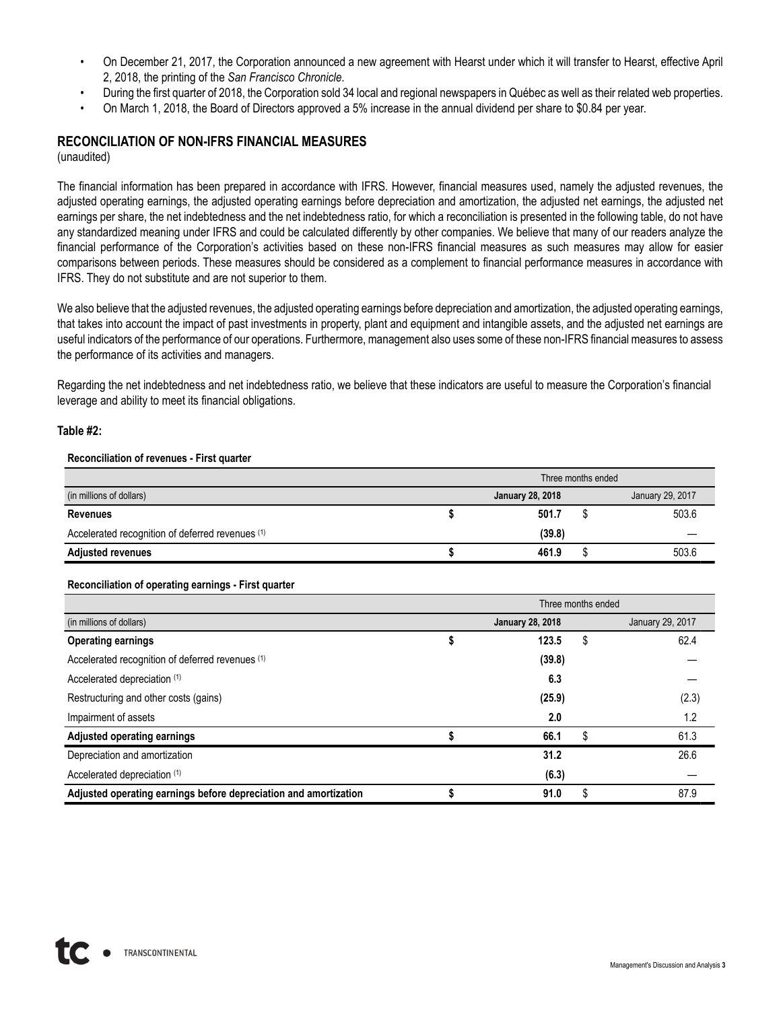- On December 21, 2017, the Corporation announced a new agreement with Hearst under which it will transfer to Hearst, effective April 2, 2018, the printing of the *San Francisco Chronicle*.
- During the first quarter of 2018, the Corporation sold 34 local and regional newspapers in Québec as well as their related web properties.
- On March 1, 2018, the Board of Directors approved a 5% increase in the annual dividend per share to \$0.84 per year.

## **RECONCILIATION OF NON-IFRS FINANCIAL MEASURES**

(unaudited)

The financial information has been prepared in accordance with IFRS. However, financial measures used, namely the adjusted revenues, the adjusted operating earnings, the adjusted operating earnings before depreciation and amortization, the adjusted net earnings, the adjusted net earnings per share, the net indebtedness and the net indebtedness ratio, for which a reconciliation is presented in the following table, do not have any standardized meaning under IFRS and could be calculated differently by other companies. We believe that many of our readers analyze the financial performance of the Corporation's activities based on these non-IFRS financial measures as such measures may allow for easier comparisons between periods. These measures should be considered as a complement to financial performance measures in accordance with IFRS. They do not substitute and are not superior to them.

We also believe that the adjusted revenues, the adjusted operating earnings before depreciation and amortization, the adjusted operating earnings, that takes into account the impact of past investments in property, plant and equipment and intangible assets, and the adjusted net earnings are useful indicators of the performance of our operations. Furthermore, management also uses some of these non-IFRS financial measures to assess the performance of its activities and managers.

Regarding the net indebtedness and net indebtedness ratio, we believe that these indicators are useful to measure the Corporation's financial leverage and ability to meet its financial obligations.

#### **Table #2:**

#### **Reconciliation of revenues - First quarter**

|                                                  | Three months ended |                         |  |                  |  |  |  |  |  |
|--------------------------------------------------|--------------------|-------------------------|--|------------------|--|--|--|--|--|
| (in millions of dollars)                         |                    | <b>January 28, 2018</b> |  | January 29, 2017 |  |  |  |  |  |
| <b>Revenues</b>                                  |                    | 501.7                   |  | 503.6            |  |  |  |  |  |
| Accelerated recognition of deferred revenues (1) |                    | (39.8)                  |  |                  |  |  |  |  |  |
| <b>Adjusted revenues</b>                         |                    | 461.9                   |  | 503.6            |  |  |  |  |  |

#### **Reconciliation of operating earnings - First quarter**

|                                                                  | Three months ended |                         |    |                  |  |  |  |  |  |  |  |
|------------------------------------------------------------------|--------------------|-------------------------|----|------------------|--|--|--|--|--|--|--|
| (in millions of dollars)                                         |                    | <b>January 28, 2018</b> |    | January 29, 2017 |  |  |  |  |  |  |  |
| <b>Operating earnings</b>                                        |                    | 123.5                   | \$ | 62.4             |  |  |  |  |  |  |  |
| Accelerated recognition of deferred revenues (1)                 |                    | (39.8)                  |    |                  |  |  |  |  |  |  |  |
| Accelerated depreciation (1)                                     |                    | 6.3                     |    |                  |  |  |  |  |  |  |  |
| Restructuring and other costs (gains)                            |                    | (25.9)                  |    | (2.3)            |  |  |  |  |  |  |  |
| Impairment of assets                                             |                    | 2.0                     |    | 1.2              |  |  |  |  |  |  |  |
| <b>Adjusted operating earnings</b>                               |                    | 66.1                    | \$ | 61.3             |  |  |  |  |  |  |  |
| Depreciation and amortization                                    |                    | 31.2                    |    | 26.6             |  |  |  |  |  |  |  |
| Accelerated depreciation (1)                                     |                    | (6.3)                   |    |                  |  |  |  |  |  |  |  |
| Adjusted operating earnings before depreciation and amortization |                    | 91.0                    | \$ | 87.9             |  |  |  |  |  |  |  |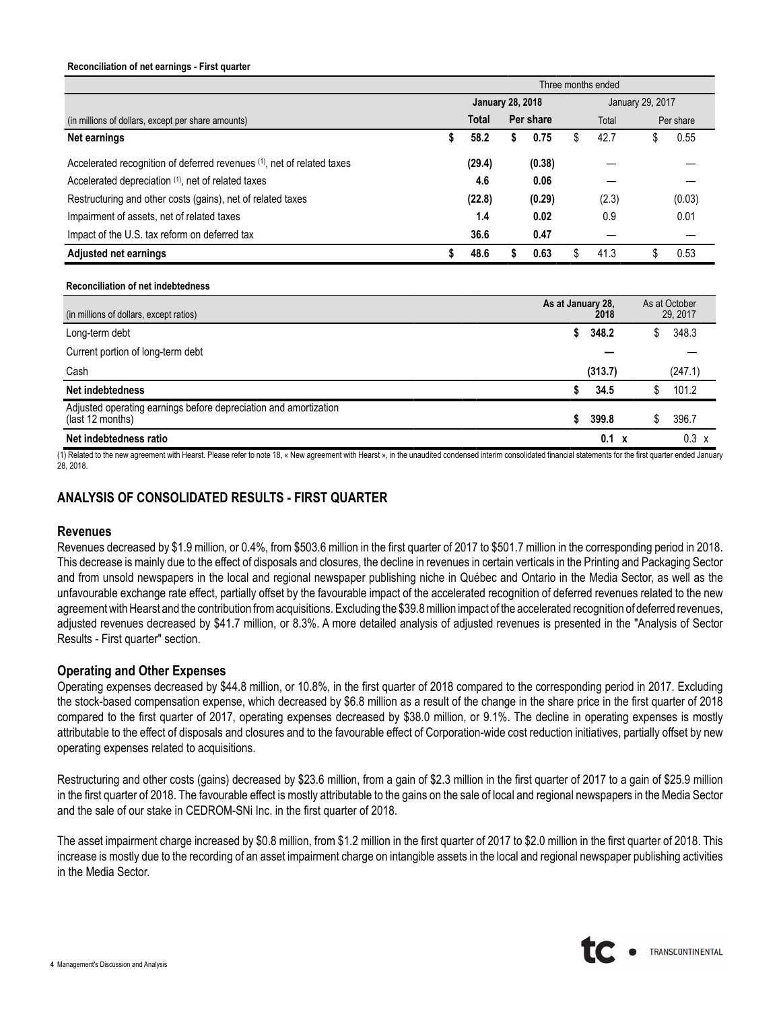#### **Reconciliation of net earnings - First quarter**

|                                                                                      | Three months ended |                         |    |           |    |                           |                  |                           |  |  |  |  |  |
|--------------------------------------------------------------------------------------|--------------------|-------------------------|----|-----------|----|---------------------------|------------------|---------------------------|--|--|--|--|--|
|                                                                                      |                    | <b>January 28, 2018</b> |    |           |    |                           | January 29, 2017 |                           |  |  |  |  |  |
| (in millions of dollars, except per share amounts)                                   |                    | Total                   |    | Per share |    | Total                     |                  | Per share                 |  |  |  |  |  |
| Net earnings                                                                         | \$                 | 58.2                    | \$ | 0.75      | \$ | 42.7                      | \$               | 0.55                      |  |  |  |  |  |
| Accelerated recognition of deferred revenues (1), net of related taxes               |                    | (29.4)                  |    | (0.38)    |    |                           |                  |                           |  |  |  |  |  |
| Accelerated depreciation (1), net of related taxes                                   |                    | 4.6                     |    | 0.06      |    |                           |                  |                           |  |  |  |  |  |
| Restructuring and other costs (gains), net of related taxes                          |                    | (22.8)                  |    | (0.29)    |    | (2.3)                     |                  | (0.03)                    |  |  |  |  |  |
| Impairment of assets, net of related taxes                                           |                    | 1.4                     |    | 0.02      |    | 0.9                       |                  | 0.01                      |  |  |  |  |  |
| Impact of the U.S. tax reform on deferred tax                                        |                    | 36.6                    |    | 0.47      |    |                           |                  |                           |  |  |  |  |  |
| <b>Adjusted net earnings</b>                                                         | \$                 | 48.6                    | \$ | 0.63      | \$ | 41.3                      | \$               | 0.53                      |  |  |  |  |  |
| <b>Reconciliation of net indebtedness</b>                                            |                    |                         |    |           |    |                           |                  |                           |  |  |  |  |  |
| (in millions of dollars, except ratios)                                              |                    |                         |    |           |    | As at January 28,<br>2018 |                  | As at October<br>29, 2017 |  |  |  |  |  |
| Long-term debt                                                                       |                    |                         |    |           | \$ | 348.2                     | \$               | 348.3                     |  |  |  |  |  |
| Current portion of long-term debt                                                    |                    |                         |    |           |    |                           |                  |                           |  |  |  |  |  |
| Cash                                                                                 |                    |                         |    |           |    | (313.7)                   |                  | (247.1)                   |  |  |  |  |  |
| Net indebtedness                                                                     |                    |                         |    |           | \$ | 34.5                      | \$               | 101.2                     |  |  |  |  |  |
| Adjusted operating earnings before depreciation and amortization<br>(last 12 months) |                    |                         |    |           | \$ | 399.8                     | \$               | 396.7                     |  |  |  |  |  |
| Net indebtedness ratio                                                               |                    |                         |    |           |    | $0.1 \times$              |                  | $0.3 \times$              |  |  |  |  |  |

(1) Related to the new agreement with Hearst. Please refer to note 18, « New agreement with Hearst », in the unaudited condensed interim consolidated financial statements for the first quarter ended January 28, 2018.

### **ANALYSIS OF CONSOLIDATED RESULTS - FIRST QUARTER**

#### **Revenues**

Revenues decreased by \$1.9 million, or 0.4%, from \$503.6 million in the first quarter of 2017 to \$501.7 million in the corresponding period in 2018. This decrease is mainly due to the effect of disposals and closures, the decline in revenues in certain verticals in the Printing and Packaging Sector and from unsold newspapers in the local and regional newspaper publishing niche in Québec and Ontario in the Media Sector, as well as the unfavourable exchange rate effect, partially offset by the favourable impact of the accelerated recognition of deferred revenues related to the new agreement with Hearst and the contribution from acquisitions. Excluding the \$39.8million impact of the accelerated recognition of deferred revenues, adjusted revenues decreased by \$41.7 million, or 8.3%. A more detailed analysis of adjusted revenues is presented in the "Analysis of Sector Results - First quarter" section.

#### **Operating and Other Expenses**

Operating expenses decreased by \$44.8 million, or 10.8%, in the first quarter of 2018 compared to the corresponding period in 2017. Excluding the stock-based compensation expense, which decreased by \$6.8 million as a result of the change in the share price in the first quarter of 2018 compared to the first quarter of 2017, operating expenses decreased by \$38.0 million, or 9.1%. The decline in operating expenses is mostly attributable to the effect of disposals and closures and to the favourable effect of Corporation-wide cost reduction initiatives, partially offset by new operating expenses related to acquisitions.

Restructuring and other costs (gains) decreased by \$23.6 million, from a gain of \$2.3 million in the first quarter of 2017 to a gain of \$25.9 million in the first quarter of 2018. The favourable effect is mostly attributable to the gains on the sale of local and regional newspapers in the Media Sector and the sale of our stake in CEDROM-SNi Inc. in the first quarter of 2018.

The asset impairment charge increased by \$0.8 million, from \$1.2 million in the first quarter of 2017 to \$2.0 million in the first quarter of 2018. This increase is mostly due to the recording of an asset impairment charge on intangible assets in the local and regional newspaper publishing activities in the Media Sector.

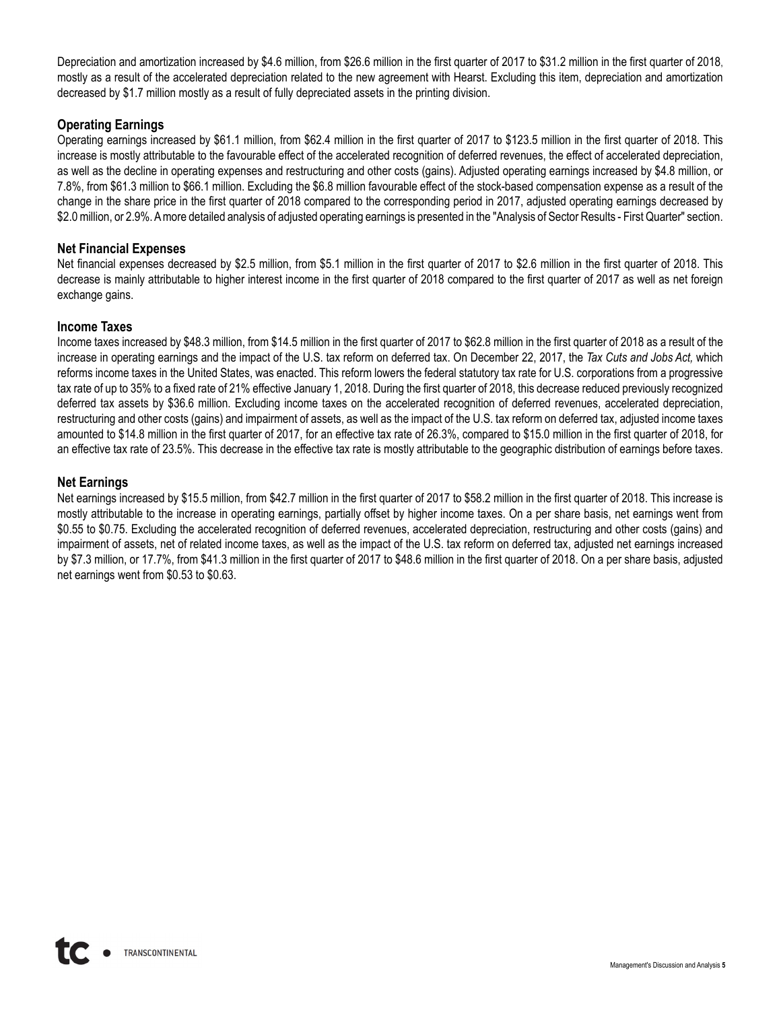Depreciation and amortization increased by \$4.6 million, from \$26.6 million in the first quarter of 2017 to \$31.2 million in the first quarter of 2018, mostly as a result of the accelerated depreciation related to the new agreement with Hearst. Excluding this item, depreciation and amortization decreased by \$1.7 million mostly as a result of fully depreciated assets in the printing division.

## **Operating Earnings**

Operating earnings increased by \$61.1 million, from \$62.4 million in the first quarter of 2017 to \$123.5 million in the first quarter of 2018. This increase is mostly attributable to the favourable effect of the accelerated recognition of deferred revenues, the effect of accelerated depreciation, as well as the decline in operating expenses and restructuring and other costs (gains). Adjusted operating earnings increased by \$4.8 million, or 7.8%, from \$61.3 million to \$66.1 million. Excluding the \$6.8 million favourable effect of the stock-based compensation expense as a result of the change in the share price in the first quarter of 2018 compared to the corresponding period in 2017, adjusted operating earnings decreased by \$2.0million, or 2.9%. Amore detailed analysis of adjusted operating earnings is presented in the "Analysis of Sector Results - First Quarter" section.

### **Net Financial Expenses**

Net financial expenses decreased by \$2.5 million, from \$5.1 million in the first quarter of 2017 to \$2.6 million in the first quarter of 2018. This decrease is mainly attributable to higher interest income in the first quarter of 2018 compared to the first quarter of 2017 as well as net foreign exchange gains.

### **Income Taxes**

Income taxes increased by \$48.3 million, from \$14.5 million in the first quarter of 2017 to \$62.8 million in the first quarter of 2018 as a result of the increase in operating earnings and the impact of the U.S. tax reform on deferred tax. On December 22, 2017, the *Tax Cuts and Jobs Act,* which reforms income taxes in the United States, was enacted. This reform lowers the federal statutory tax rate for U.S. corporations from a progressive tax rate of up to 35% to a fixed rate of 21% effective January 1, 2018. During the first quarter of 2018, this decrease reduced previously recognized deferred tax assets by \$36.6 million. Excluding income taxes on the accelerated recognition of deferred revenues, accelerated depreciation, restructuring and other costs (gains) and impairment of assets, as well as the impact of the U.S. tax reform on deferred tax, adjusted income taxes amounted to \$14.8 million in the first quarter of 2017, for an effective tax rate of 26.3%, compared to \$15.0 million in the first quarter of 2018, for an effective tax rate of 23.5%. This decrease in the effective tax rate is mostly attributable to the geographic distribution of earnings before taxes.

### **Net Earnings**

Net earnings increased by \$15.5 million, from \$42.7 million in the first quarter of 2017 to \$58.2 million in the first quarter of 2018. This increase is mostly attributable to the increase in operating earnings, partially offset by higher income taxes. On a per share basis, net earnings went from \$0.55 to \$0.75. Excluding the accelerated recognition of deferred revenues, accelerated depreciation, restructuring and other costs (gains) and impairment of assets, net of related income taxes, as well as the impact of the U.S. tax reform on deferred tax, adjusted net earnings increased by \$7.3 million, or 17.7%, from \$41.3 million in the first quarter of 2017 to \$48.6 million in the first quarter of 2018. On a per share basis, adjusted net earnings went from \$0.53 to \$0.63.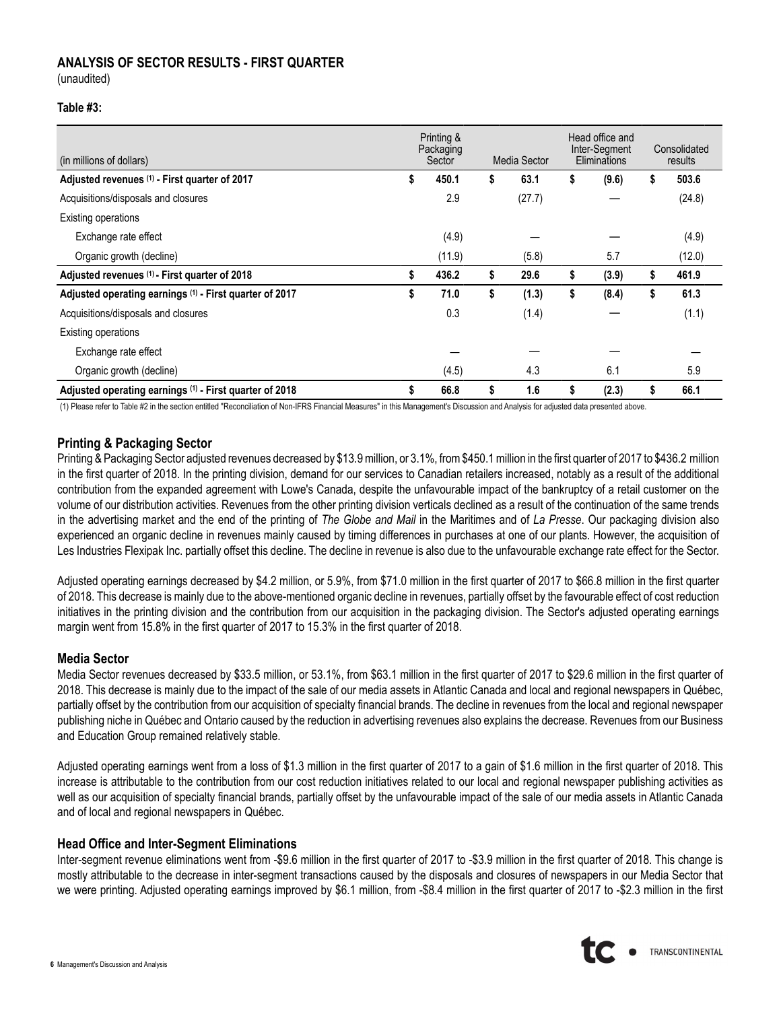### **ANALYSIS OF SECTOR RESULTS - FIRST QUARTER**

(unaudited)

#### **Table #3:**

| (in millions of dollars)                                | Printing &<br>Packaging<br>Sector |        |    | Media Sector | Head office and<br>Inter-Segment<br>Eliminations | Consolidated<br>results |
|---------------------------------------------------------|-----------------------------------|--------|----|--------------|--------------------------------------------------|-------------------------|
| Adjusted revenues (1) - First quarter of 2017           | S                                 | 450.1  | \$ | 63.1         | \$<br>(9.6)                                      | \$<br>503.6             |
| Acquisitions/disposals and closures                     |                                   | 2.9    |    | (27.7)       |                                                  | (24.8)                  |
| <b>Existing operations</b>                              |                                   |        |    |              |                                                  |                         |
| Exchange rate effect                                    |                                   | (4.9)  |    |              |                                                  | (4.9)                   |
| Organic growth (decline)                                |                                   | (11.9) |    | (5.8)        | 5.7                                              | (12.0)                  |
| Adjusted revenues (1) - First quarter of 2018           |                                   | 436.2  | \$ | 29.6         | \$<br>(3.9)                                      | \$<br>461.9             |
| Adjusted operating earnings (1) - First quarter of 2017 | \$                                | 71.0   | \$ | (1.3)        | \$<br>(8.4)                                      | \$<br>61.3              |
| Acquisitions/disposals and closures                     |                                   | 0.3    |    | (1.4)        |                                                  | (1.1)                   |
| Existing operations                                     |                                   |        |    |              |                                                  |                         |
| Exchange rate effect                                    |                                   |        |    |              |                                                  |                         |
| Organic growth (decline)                                |                                   | (4.5)  |    | 4.3          | 6.1                                              | 5.9                     |
| Adjusted operating earnings (1) - First quarter of 2018 |                                   | 66.8   | \$ | 1.6          | (2.3)                                            | 66.1                    |

(1) Please refer to Table #2 in the section entitled "Reconciliation of Non-IFRS Financial Measures" in this Management's Discussion and Analysis for adjusted data presented above.

### **Printing & Packaging Sector**

Printing & Packaging Sector adjusted revenues decreased by \$13.9 million, or 3.1%, from \$450.1 million in the first quarter of 2017 to \$436.2 million in the first quarter of 2018. In the printing division, demand for our services to Canadian retailers increased, notably as a result of the additional contribution from the expanded agreement with Lowe's Canada, despite the unfavourable impact of the bankruptcy of a retail customer on the volume of our distribution activities. Revenues from the other printing division verticals declined as a result of the continuation of the same trends in the advertising market and the end of the printing of *The Globe and Mail* in the Maritimes and of *La Presse*. Our packaging division also experienced an organic decline in revenues mainly caused by timing differences in purchases at one of our plants. However, the acquisition of Les Industries Flexipak Inc. partially offset this decline. The decline in revenue is also due to the unfavourable exchange rate effect for the Sector.

Adjusted operating earnings decreased by \$4.2 million, or 5.9%, from \$71.0 million in the first quarter of 2017 to \$66.8 million in the first quarter of 2018. This decrease is mainly due to the above-mentioned organic decline in revenues, partially offset by the favourable effect of cost reduction initiatives in the printing division and the contribution from our acquisition in the packaging division. The Sector's adjusted operating earnings margin went from 15.8% in the first quarter of 2017 to 15.3% in the first quarter of 2018.

### **Media Sector**

Media Sector revenues decreased by \$33.5 million, or 53.1%, from \$63.1 million in the first quarter of 2017 to \$29.6 million in the first quarter of 2018. This decrease is mainly due to the impact of the sale of our media assets in Atlantic Canada and local and regional newspapers in Québec, partially offset by the contribution from our acquisition of specialty financial brands. The decline in revenues from the local and regional newspaper publishing niche in Québec and Ontario caused by the reduction in advertising revenues also explains the decrease. Revenues from our Business and Education Group remained relatively stable.

Adjusted operating earnings went from a loss of \$1.3 million in the first quarter of 2017 to a gain of \$1.6 million in the first quarter of 2018. This increase is attributable to the contribution from our cost reduction initiatives related to our local and regional newspaper publishing activities as well as our acquisition of specialty financial brands, partially offset by the unfavourable impact of the sale of our media assets in Atlantic Canada and of local and regional newspapers in Québec.

#### **Head Office and Inter-Segment Eliminations**

Inter-segment revenue eliminations went from -\$9.6 million in the first quarter of 2017 to -\$3.9 million in the first quarter of 2018. This change is mostly attributable to the decrease in inter-segment transactions caused by the disposals and closures of newspapers in our Media Sector that we were printing. Adjusted operating earnings improved by \$6.1 million, from -\$8.4 million in the first quarter of 2017 to -\$2.3 million in the first

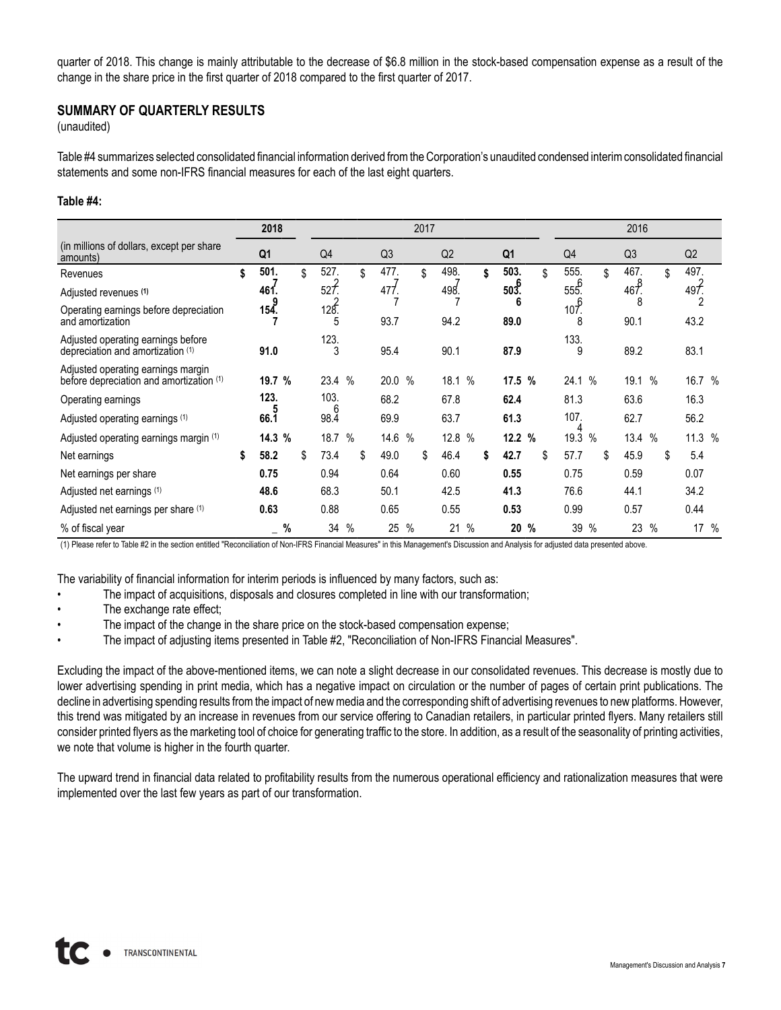quarter of 2018. This change is mainly attributable to the decrease of \$6.8 million in the stock-based compensation expense as a result of the change in the share price in the first quarter of 2018 compared to the first quarter of 2017.

### **SUMMARY OF QUARTERLY RESULTS**

(unaudited)

Table #4 summarizes selected consolidated financial information derived from the Corporation's unaudited condensed interim consolidated financial statements and some non-IFRS financial measures for each of the last eight quarters.

#### **Table #4:**

|                                                                                | 2018           |   | 2017           |      |    |                |      |    |      |               |    | 2016           |               |               |      |    |                |               |            |  |
|--------------------------------------------------------------------------------|----------------|---|----------------|------|----|----------------|------|----|------|---------------|----|----------------|---------------|---------------|------|----|----------------|---------------|------------|--|
| (in millions of dollars, except per share)<br>amounts)                         | Q <sub>1</sub> |   | Q <sub>4</sub> |      |    | Q <sub>3</sub> |      |    | Q2   |               |    | Q <sub>1</sub> |               | Q4            |      |    | Q <sub>3</sub> |               | Q2         |  |
| Revenues                                                                       | \$<br>501.     |   | \$<br>527.     |      | \$ | 477.           |      | \$ | 498. |               | \$ | 503.           | \$            | 555.          |      | \$ | 467.           |               | \$<br>497. |  |
| Adjusted revenues (1)                                                          | 461.           |   | 527.           |      |    | 477.           |      |    | 498. |               |    | 503            |               | 555.          |      |    | 467.           |               | 497.       |  |
| Operating earnings before depreciation<br>and amortization                     | 154.           |   | 128.<br>5      |      |    | 93.7           |      |    | 94.2 |               |    | 89.0           |               | $10^{6}$<br>8 |      |    | 8<br>90.1      |               | 2<br>43.2  |  |
| Adjusted operating earnings before<br>depreciation and amortization (1)        | 91.0           |   | 123.<br>3      |      |    | 95.4           |      |    | 90.1 |               |    | 87.9           |               | 133.<br>9     |      |    | 89.2           |               | 83.1       |  |
| Adjusted operating earnings margin<br>before depreciation and amortization (1) | 19.7 %         |   | 23.4           | $\%$ |    | 20.0 %         |      |    | 18.1 | $\frac{0}{0}$ |    | 17.5 %         |               | 24.1 %        |      |    | 19.1           | $\frac{0}{0}$ | 16.7 %     |  |
| Operating earnings                                                             | 123.           |   | 103.           |      |    | 68.2           |      |    | 67.8 |               |    | 62.4           |               | 81.3          |      |    | 63.6           |               | 16.3       |  |
| Adjusted operating earnings (1)                                                | 66.1           |   | 6<br>98.4      |      |    | 69.9           |      |    | 63.7 |               |    | 61.3           |               | 107.          |      |    | 62.7           |               | 56.2       |  |
| Adjusted operating earnings margin (1)                                         | 14.3 %         |   | 18.7           | $\%$ |    | 14.6           | $\%$ |    | 12.8 | $\frac{0}{0}$ |    | 12.2%          |               | 19.3 %        |      |    | 13.4           | $\frac{0}{0}$ | 11.3 %     |  |
| Net earnings                                                                   | \$<br>58.2     |   | \$<br>73.4     |      | \$ | 49.0           |      | \$ | 46.4 |               | \$ | 42.7           | \$            | 57.7          |      | \$ | 45.9           |               | \$<br>5.4  |  |
| Net earnings per share                                                         | 0.75           |   | 0.94           |      |    | 0.64           |      |    | 0.60 |               |    | 0.55           |               | 0.75          |      |    | 0.59           |               | 0.07       |  |
| Adjusted net earnings (1)                                                      | 48.6           |   | 68.3           |      |    | 50.1           |      |    | 42.5 |               |    | 41.3           |               | 76.6          |      |    | 44.1           |               | 34.2       |  |
| Adjusted net earnings per share (1)                                            | 0.63           |   | 0.88           |      |    | 0.65           |      |    | 0.55 |               |    | 0.53           |               | 0.99          |      |    | 0.57           |               | 0.44       |  |
| % of fiscal year                                                               |                | % | 34             | $\%$ |    | 25             | $\%$ |    | 21   | $\frac{0}{0}$ |    | 20             | $\frac{0}{0}$ | 39            | $\%$ |    | 23             | $\%$          | 17 %       |  |

(1) Please refer to Table #2 in the section entitled "Reconciliation of Non-IFRS Financial Measures" in this Management's Discussion and Analysis for adjusted data presented above.

The variability of financial information for interim periods is influenced by many factors, such as:

- The impact of acquisitions, disposals and closures completed in line with our transformation;
- The exchange rate effect;
- The impact of the change in the share price on the stock-based compensation expense;
- The impact of adjusting items presented in Table #2, "Reconciliation of Non-IFRS Financial Measures".

Excluding the impact of the above-mentioned items, we can note a slight decrease in our consolidated revenues. This decrease is mostly due to lower advertising spending in print media, which has a negative impact on circulation or the number of pages of certain print publications. The decline in advertising spending results from the impact of new media and the corresponding shift of advertising revenues to new platforms. However, this trend was mitigated by an increase in revenues from our service offering to Canadian retailers, in particular printed flyers. Many retailers still consider printed flyers as the marketing tool of choice for generating traffic to the store. In addition, as a result of the seasonality of printing activities, we note that volume is higher in the fourth quarter.

The upward trend in financial data related to profitability results from the numerous operational efficiency and rationalization measures that were implemented over the last few years as part of our transformation.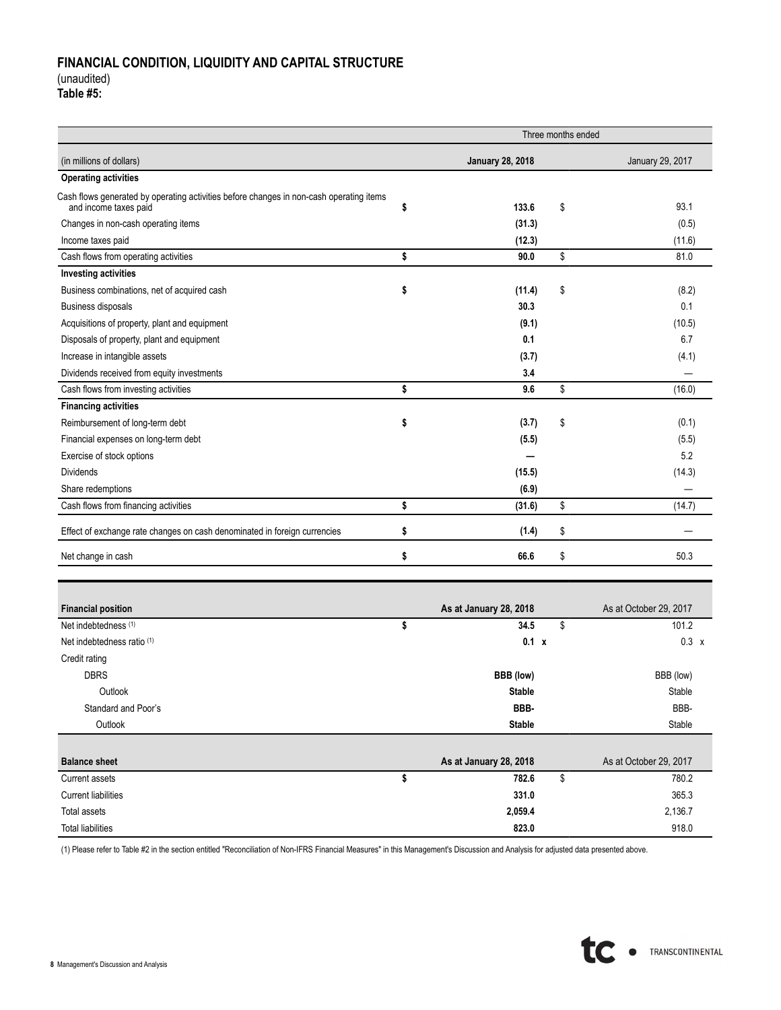## **FINANCIAL CONDITION, LIQUIDITY AND CAPITAL STRUCTURE**  (unaudited)

**Table #5:**

|                                                                                                                  | Three months ended |                        |    |                        |  |  |  |
|------------------------------------------------------------------------------------------------------------------|--------------------|------------------------|----|------------------------|--|--|--|
| (in millions of dollars)<br><b>January 28, 2018</b>                                                              |                    |                        |    | January 29, 2017       |  |  |  |
| <b>Operating activities</b>                                                                                      |                    |                        |    |                        |  |  |  |
| Cash flows generated by operating activities before changes in non-cash operating items<br>and income taxes paid | \$                 | 133.6                  | \$ | 93.1                   |  |  |  |
| Changes in non-cash operating items                                                                              |                    | (31.3)                 |    | (0.5)                  |  |  |  |
| Income taxes paid                                                                                                |                    | (12.3)                 |    | (11.6)                 |  |  |  |
| Cash flows from operating activities                                                                             | \$                 | 90.0                   | \$ | 81.0                   |  |  |  |
| <b>Investing activities</b>                                                                                      |                    |                        |    |                        |  |  |  |
| Business combinations, net of acquired cash                                                                      | \$                 | (11.4)                 | \$ | (8.2)                  |  |  |  |
| Business disposals                                                                                               |                    | 30.3                   |    | 0.1                    |  |  |  |
| Acquisitions of property, plant and equipment                                                                    |                    | (9.1)                  |    | (10.5)                 |  |  |  |
| Disposals of property, plant and equipment                                                                       |                    | 0.1                    |    | 6.7                    |  |  |  |
| Increase in intangible assets                                                                                    |                    | (3.7)                  |    | (4.1)                  |  |  |  |
| Dividends received from equity investments                                                                       |                    | 3.4                    |    |                        |  |  |  |
| Cash flows from investing activities                                                                             | \$                 | 9.6                    | \$ | (16.0)                 |  |  |  |
| <b>Financing activities</b>                                                                                      |                    |                        |    |                        |  |  |  |
| Reimbursement of long-term debt                                                                                  | \$                 | (3.7)                  | \$ | (0.1)                  |  |  |  |
| Financial expenses on long-term debt                                                                             |                    | (5.5)                  |    | (5.5)                  |  |  |  |
| Exercise of stock options                                                                                        |                    |                        |    | 5.2                    |  |  |  |
| <b>Dividends</b>                                                                                                 |                    | (15.5)                 |    | (14.3)                 |  |  |  |
| Share redemptions                                                                                                |                    | (6.9)                  |    |                        |  |  |  |
| Cash flows from financing activities                                                                             | \$                 | (31.6)                 | \$ | (14.7)                 |  |  |  |
| Effect of exchange rate changes on cash denominated in foreign currencies                                        | \$                 | (1.4)                  | \$ |                        |  |  |  |
| Net change in cash                                                                                               | \$                 | 66.6                   | \$ | 50.3                   |  |  |  |
|                                                                                                                  |                    |                        |    |                        |  |  |  |
| <b>Financial position</b>                                                                                        |                    | As at January 28, 2018 |    | As at October 29, 2017 |  |  |  |
| Net indebtedness (1)                                                                                             | \$                 | 34.5                   | \$ | 101.2                  |  |  |  |
| Net indebtedness ratio (1)                                                                                       |                    | 0.1 x                  |    | $0.3 \times$           |  |  |  |
| Credit rating                                                                                                    |                    |                        |    |                        |  |  |  |
| <b>DBRS</b>                                                                                                      |                    | BBB (low)              |    | BBB (low)              |  |  |  |
| Outlook                                                                                                          |                    | <b>Stable</b>          |    | Stable                 |  |  |  |
| Standard and Poor's                                                                                              |                    | BBB-                   |    | BBB-                   |  |  |  |
| Outlook                                                                                                          |                    | <b>Stable</b>          |    | Stable                 |  |  |  |
| <b>Balance sheet</b>                                                                                             |                    | As at January 28, 2018 |    | As at October 29, 2017 |  |  |  |
| <b>Current assets</b>                                                                                            | \$                 | 782.6                  | \$ | 780.2                  |  |  |  |
| <b>Current liabilities</b>                                                                                       |                    | 331.0                  |    | 365.3                  |  |  |  |
| Total assets                                                                                                     |                    | 2,059.4                |    | 2,136.7                |  |  |  |
| <b>Total liabilities</b>                                                                                         |                    | 823.0                  |    | 918.0                  |  |  |  |

(1) Please refer to Table #2 in the section entitled "Reconciliation of Non-IFRS Financial Measures" in this Management's Discussion and Analysis for adjusted data presented above.

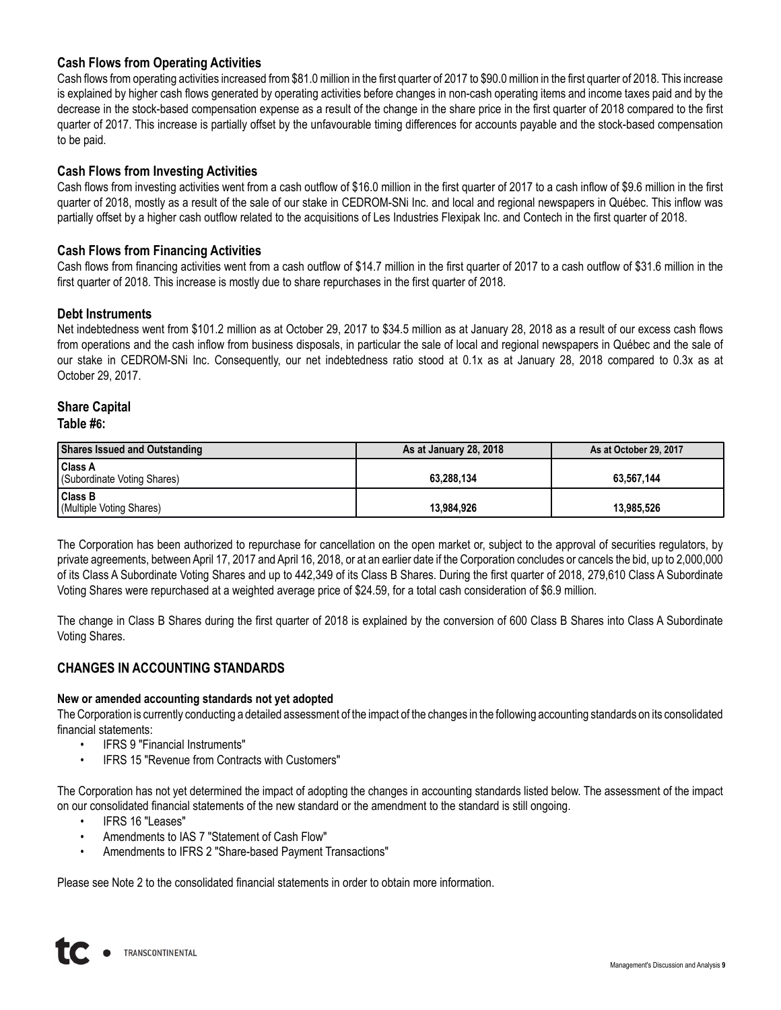### **Cash Flows from Operating Activities**

Cash flows from operating activities increased from \$81.0 million in the first quarter of 2017 to \$90.0 million in the first quarter of 2018. This increase is explained by higher cash flows generated by operating activities before changes in non-cash operating items and income taxes paid and by the decrease in the stock-based compensation expense as a result of the change in the share price in the first quarter of 2018 compared to the first quarter of 2017. This increase is partially offset by the unfavourable timing differences for accounts payable and the stock-based compensation to be paid.

### **Cash Flows from Investing Activities**

Cash flows from investing activities went from a cash outflow of \$16.0 million in the first quarter of 2017 to a cash inflow of \$9.6 million in the first quarter of 2018, mostly as a result of the sale of our stake in CEDROM-SNi Inc. and local and regional newspapers in Québec. This inflow was partially offset by a higher cash outflow related to the acquisitions of Les Industries Flexipak Inc. and Contech in the first quarter of 2018.

### **Cash Flows from Financing Activities**

Cash flows from financing activities went from a cash outflow of \$14.7 million in the first quarter of 2017 to a cash outflow of \$31.6 million in the first quarter of 2018. This increase is mostly due to share repurchases in the first quarter of 2018.

### **Debt Instruments**

Net indebtedness went from \$101.2 million as at October 29, 2017 to \$34.5 million as at January 28, 2018 as a result of our excess cash flows from operations and the cash inflow from business disposals, in particular the sale of local and regional newspapers in Québec and the sale of our stake in CEDROM-SNi Inc. Consequently, our net indebtedness ratio stood at 0.1x as at January 28, 2018 compared to 0.3x as at October 29, 2017.

# **Share Capital**

| <b>Shares Issued and Outstanding</b>          | As at January 28, 2018 | As at October 29, 2017 |
|-----------------------------------------------|------------------------|------------------------|
| <b>Class A</b><br>(Subordinate Voting Shares) | 63.288.134             | 63.567.144             |
| <b>Class B</b><br>(Multiple Voting Shares)    | 13.984.926             | 13.985.526             |

The Corporation has been authorized to repurchase for cancellation on the open market or, subject to the approval of securities regulators, by private agreements, between April 17, 2017 and April 16, 2018, or at an earlier date if the Corporation concludes or cancels the bid, up to 2,000,000 of its Class A Subordinate Voting Shares and up to 442,349 of its Class B Shares. During the first quarter of 2018, 279,610 Class A Subordinate Voting Shares were repurchased at a weighted average price of \$24.59, for a total cash consideration of \$6.9 million.

The change in Class B Shares during the first quarter of 2018 is explained by the conversion of 600 Class B Shares into Class A Subordinate Voting Shares.

### **CHANGES IN ACCOUNTING STANDARDS**

#### **New or amended accounting standards not yet adopted**

The Corporation is currently conducting a detailed assessment of the impact of the changes in the following accounting standards on its consolidated financial statements:

- IFRS 9 "Financial Instruments"
- IFRS 15 "Revenue from Contracts with Customers"

The Corporation has not yet determined the impact of adopting the changes in accounting standards listed below. The assessment of the impact on our consolidated financial statements of the new standard or the amendment to the standard is still ongoing.

- IFRS 16 "Leases"
- Amendments to IAS 7 "Statement of Cash Flow"
- Amendments to IFRS 2 "Share-based Payment Transactions"

Please see Note 2 to the consolidated financial statements in order to obtain more information.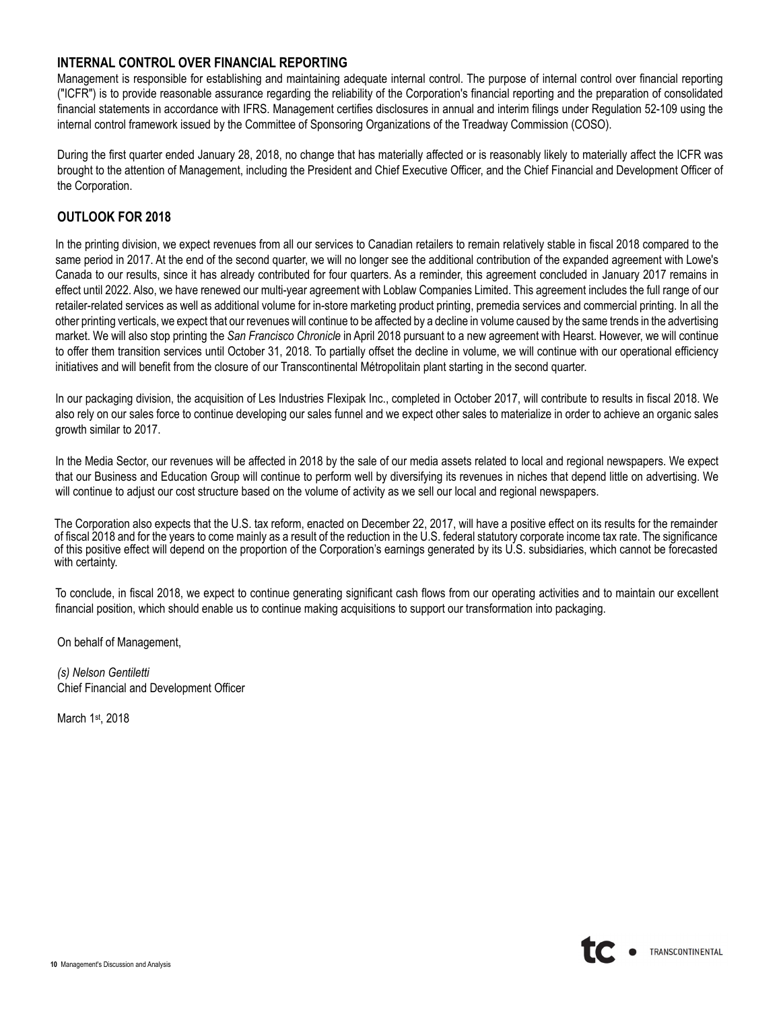## **INTERNAL CONTROL OVER FINANCIAL REPORTING**

Management is responsible for establishing and maintaining adequate internal control. The purpose of internal control over financial reporting ("ICFR") is to provide reasonable assurance regarding the reliability of the Corporation's financial reporting and the preparation of consolidated financial statements in accordance with IFRS. Management certifies disclosures in annual and interim filings under Regulation 52-109 using the internal control framework issued by the Committee of Sponsoring Organizations of the Treadway Commission (COSO).

During the first quarter ended January 28, 2018, no change that has materially affected or is reasonably likely to materially affect the ICFR was brought to the attention of Management, including the President and Chief Executive Officer, and the Chief Financial and Development Officer of the Corporation.

## **OUTLOOK FOR 2018**

In the printing division, we expect revenues from all our services to Canadian retailers to remain relatively stable in fiscal 2018 compared to the same period in 2017. At the end of the second quarter, we will no longer see the additional contribution of the expanded agreement with Lowe's Canada to our results, since it has already contributed for four quarters. As a reminder, this agreement concluded in January 2017 remains in effect until 2022. Also, we have renewed our multi-year agreement with Loblaw Companies Limited. This agreement includes the full range of our retailer-related services as well as additional volume for in-store marketing product printing, premedia services and commercial printing. In all the other printing verticals, we expect that our revenues will continue to be affected by a decline in volume caused by the same trends in the advertising market. We will also stop printing the *San Francisco Chronicle* in April 2018 pursuant to a new agreement with Hearst. However, we will continue to offer them transition services until October 31, 2018. To partially offset the decline in volume, we will continue with our operational efficiency initiatives and will benefit from the closure of our Transcontinental Métropolitain plant starting in the second quarter.

In our packaging division, the acquisition of Les Industries Flexipak Inc., completed in October 2017, will contribute to results in fiscal 2018. We also rely on our sales force to continue developing our sales funnel and we expect other sales to materialize in order to achieve an organic sales growth similar to 2017.

In the Media Sector, our revenues will be affected in 2018 by the sale of our media assets related to local and regional newspapers. We expect that our Business and Education Group will continue to perform well by diversifying its revenues in niches that depend little on advertising. We will continue to adjust our cost structure based on the volume of activity as we sell our local and regional newspapers.

The Corporation also expects that the U.S. tax reform, enacted on December 22, 2017, will have a positive effect on its results for the remainder of fiscal 2018 and for the years to come mainly as a result of the reduction in the U.S. federal statutory corporate income tax rate. The significance of this positive effect will depend on the proportion of the Corporation's earnings generated by its U.S. subsidiaries, which cannot be forecasted with certainty.

To conclude, in fiscal 2018, we expect to continue generating significant cash flows from our operating activities and to maintain our excellent financial position, which should enable us to continue making acquisitions to support our transformation into packaging.

On behalf of Management,

*(s) Nelson Gentiletti* Chief Financial and Development Officer

March 1st, 2018

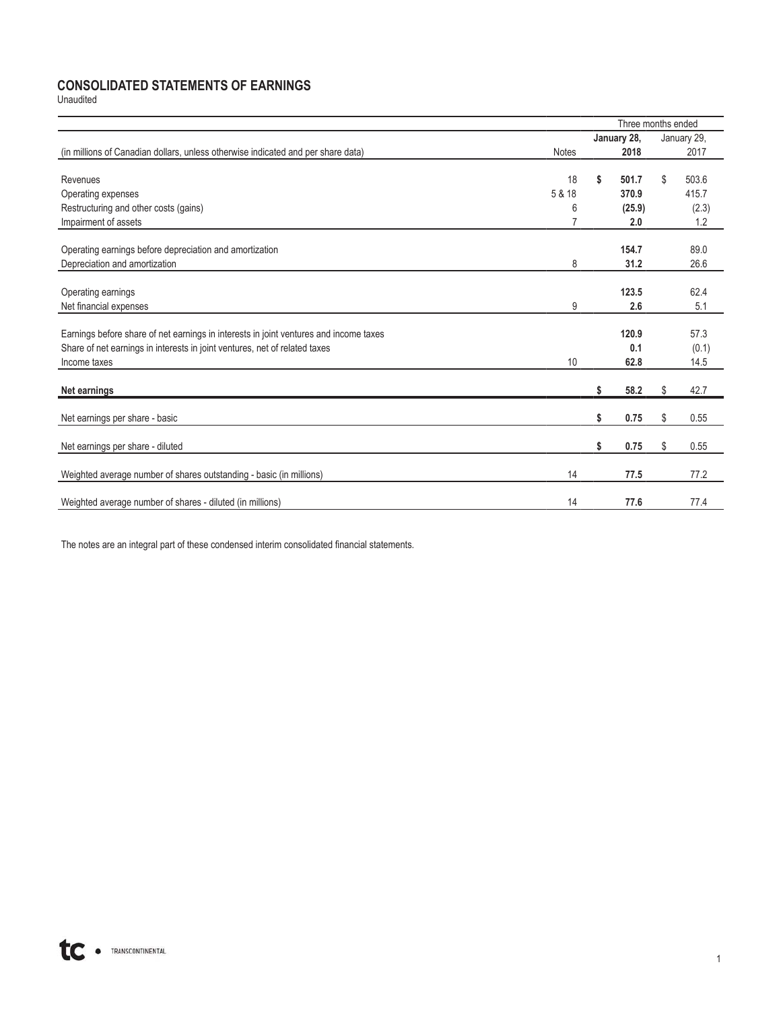### **CONSOLIDATED STATEMENTS OF EARNINGS**

Unaudited

|                                                                                       |              | Three months ended |        |    |             |  |
|---------------------------------------------------------------------------------------|--------------|--------------------|--------|----|-------------|--|
|                                                                                       |              | January 28,        |        |    | January 29, |  |
| (in millions of Canadian dollars, unless otherwise indicated and per share data)      | <b>Notes</b> |                    | 2018   |    | 2017        |  |
|                                                                                       |              |                    |        |    |             |  |
| Revenues                                                                              | 18           | \$                 | 501.7  | \$ | 503.6       |  |
| Operating expenses                                                                    | 5 & 18       |                    | 370.9  |    | 415.7       |  |
| Restructuring and other costs (gains)                                                 | 6            |                    | (25.9) |    | (2.3)       |  |
| Impairment of assets                                                                  |              |                    | 2.0    |    | 1.2         |  |
|                                                                                       |              |                    |        |    |             |  |
| Operating earnings before depreciation and amortization                               |              |                    | 154.7  |    | 89.0        |  |
| Depreciation and amortization                                                         | 8            |                    | 31.2   |    | 26.6        |  |
| Operating earnings                                                                    |              |                    | 123.5  |    | 62.4        |  |
| Net financial expenses                                                                | 9            |                    | 2.6    |    | 5.1         |  |
|                                                                                       |              |                    |        |    |             |  |
| Earnings before share of net earnings in interests in joint ventures and income taxes |              |                    | 120.9  |    | 57.3        |  |
| Share of net earnings in interests in joint ventures, net of related taxes            |              |                    | 0.1    |    | (0.1)       |  |
| Income taxes                                                                          | 10           |                    | 62.8   |    | 14.5        |  |
|                                                                                       |              |                    |        |    |             |  |
| Net earnings                                                                          |              | \$                 | 58.2   | \$ | 42.7        |  |
| Net earnings per share - basic                                                        |              | \$                 | 0.75   | \$ | 0.55        |  |
| Net earnings per share - diluted                                                      |              | \$                 | 0.75   | \$ | 0.55        |  |
|                                                                                       |              |                    |        |    |             |  |
| Weighted average number of shares outstanding - basic (in millions)                   | 14           |                    | 77.5   |    | 77.2        |  |
| Weighted average number of shares - diluted (in millions)                             | 14           |                    | 77.6   |    | 77.4        |  |
|                                                                                       |              |                    |        |    |             |  |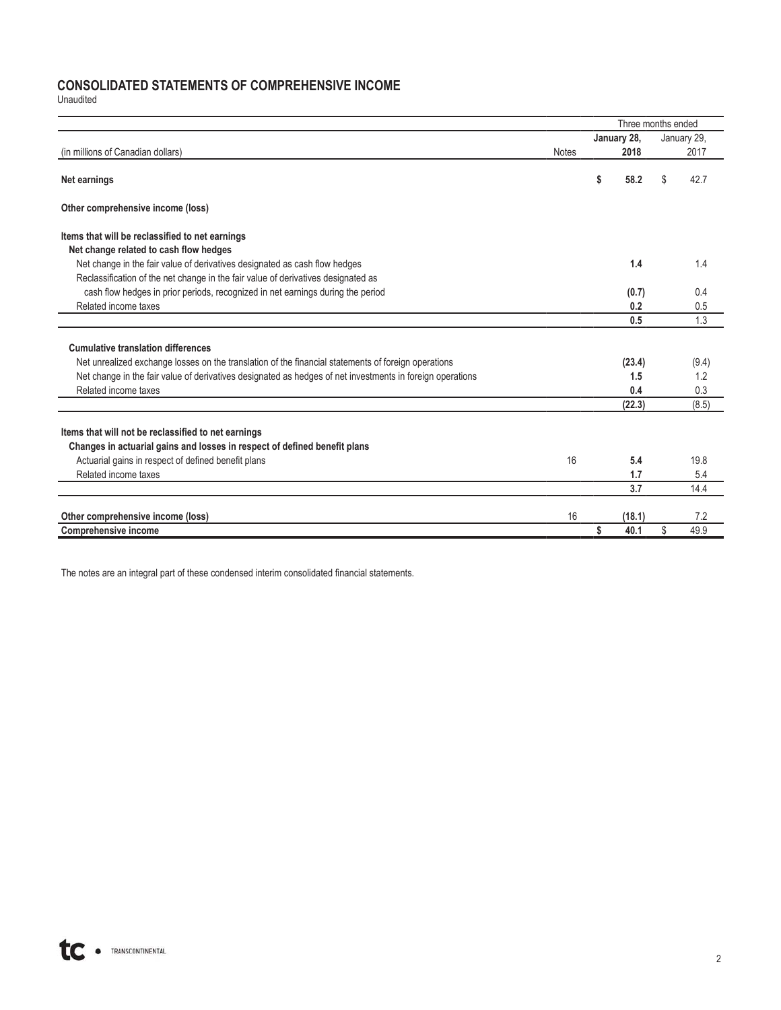## **CONSOLIDATED STATEMENTS OF COMPREHENSIVE INCOME**

Unaudited

|                                                                                                           |              | Three months ended |        |    |             |  |
|-----------------------------------------------------------------------------------------------------------|--------------|--------------------|--------|----|-------------|--|
|                                                                                                           |              | January 28,        |        |    | January 29, |  |
| (in millions of Canadian dollars)                                                                         | <b>Notes</b> |                    | 2018   |    | 2017        |  |
| Net earnings                                                                                              |              | \$                 | 58.2   | \$ | 42.7        |  |
| Other comprehensive income (loss)                                                                         |              |                    |        |    |             |  |
| Items that will be reclassified to net earnings                                                           |              |                    |        |    |             |  |
| Net change related to cash flow hedges                                                                    |              |                    |        |    |             |  |
| Net change in the fair value of derivatives designated as cash flow hedges                                |              |                    | 1.4    |    | 1.4         |  |
| Reclassification of the net change in the fair value of derivatives designated as                         |              |                    |        |    |             |  |
| cash flow hedges in prior periods, recognized in net earnings during the period                           |              |                    | (0.7)  |    | 0.4         |  |
| Related income taxes                                                                                      |              |                    | 0.2    |    | 0.5         |  |
|                                                                                                           |              |                    | 0.5    |    | 1.3         |  |
|                                                                                                           |              |                    |        |    |             |  |
| <b>Cumulative translation differences</b>                                                                 |              |                    |        |    |             |  |
| Net unrealized exchange losses on the translation of the financial statements of foreign operations       |              |                    | (23.4) |    | (9.4)       |  |
| Net change in the fair value of derivatives designated as hedges of net investments in foreign operations |              |                    | 1.5    |    | 1.2         |  |
| Related income taxes                                                                                      |              |                    | 0.4    |    | 0.3         |  |
|                                                                                                           |              |                    | (22.3) |    | (8.5)       |  |
|                                                                                                           |              |                    |        |    |             |  |
| Items that will not be reclassified to net earnings                                                       |              |                    |        |    |             |  |
| Changes in actuarial gains and losses in respect of defined benefit plans                                 |              |                    |        |    |             |  |
| Actuarial gains in respect of defined benefit plans                                                       | 16           |                    | 5.4    |    | 19.8        |  |
| Related income taxes                                                                                      |              |                    | 1.7    |    | 5.4         |  |
|                                                                                                           |              |                    | 3.7    |    | 14.4        |  |
| Other comprehensive income (loss)                                                                         | 16           |                    | (18.1) |    | 7.2         |  |
| <b>Comprehensive income</b>                                                                               |              | Ŝ                  | 40.1   | \$ | 49.9        |  |
|                                                                                                           |              |                    |        |    |             |  |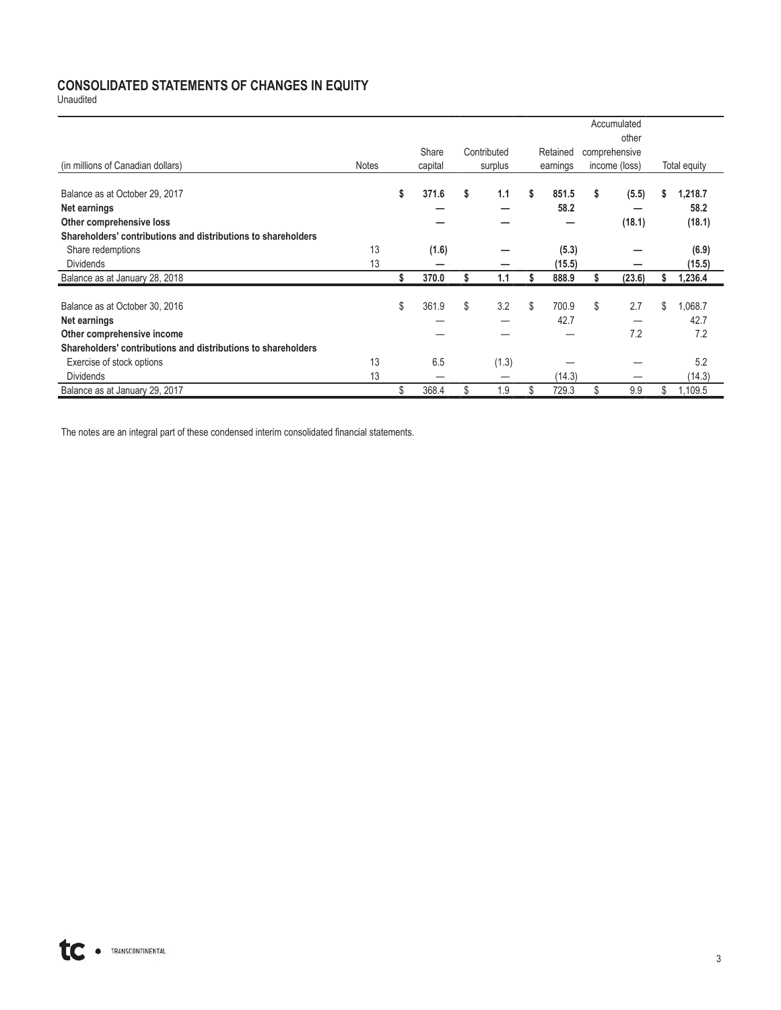## **CONSOLIDATED STATEMENTS OF CHANGES IN EQUITY**

Unaudited

|                                                               |              |    |         |             |             |    | Accumulated   |    |              |
|---------------------------------------------------------------|--------------|----|---------|-------------|-------------|----|---------------|----|--------------|
|                                                               |              |    |         |             |             |    | other         |    |              |
|                                                               |              |    | Share   | Contributed | Retained    |    | comprehensive |    |              |
| (in millions of Canadian dollars)                             | <b>Notes</b> |    | capital | surplus     | earnings    |    | income (loss) |    | Total equity |
| Balance as at October 29, 2017                                |              | \$ | 371.6   | \$<br>1.1   | \$<br>851.5 | \$ | (5.5)         | s. | 1,218.7      |
| Net earnings                                                  |              |    |         |             | 58.2        |    |               |    | 58.2         |
| Other comprehensive loss                                      |              |    |         |             |             |    | (18.1)        |    | (18.1)       |
| Shareholders' contributions and distributions to shareholders |              |    |         |             |             |    |               |    |              |
| Share redemptions                                             | 13           |    | (1.6)   |             | (5.3)       |    |               |    | (6.9)        |
| <b>Dividends</b>                                              | 13           |    |         |             | (15.5)      |    |               |    | (15.5)       |
| Balance as at January 28, 2018                                |              | S  | 370.0   | 1.1         | 888.9       | S  | (23.6)        |    | 1,236.4      |
| Balance as at October 30, 2016                                |              | \$ | 361.9   | \$<br>3.2   | \$<br>700.9 | \$ | 2.7           | \$ | 1,068.7      |
| Net earnings                                                  |              |    |         |             | 42.7        |    |               |    | 42.7         |
| Other comprehensive income                                    |              |    |         |             |             |    | 7.2           |    | 7.2          |
| Shareholders' contributions and distributions to shareholders |              |    |         |             |             |    |               |    |              |
| Exercise of stock options                                     | 13           |    | 6.5     | (1.3)       |             |    |               |    | 5.2          |
| <b>Dividends</b>                                              | 13           |    |         |             | (14.3)      |    |               |    | (14.3)       |
| Balance as at January 29, 2017                                |              | \$ | 368.4   | \$<br>1.9   | \$<br>729.3 | \$ | 9.9           | S  | 1,109.5      |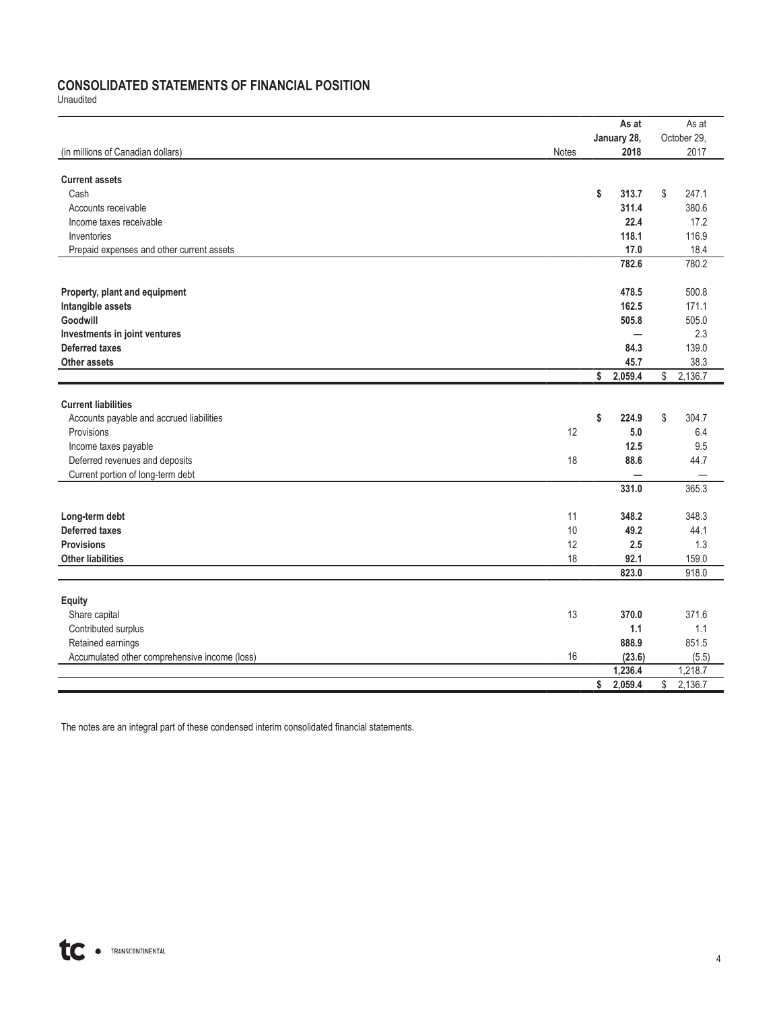## **CONSOLIDATED STATEMENTS OF FINANCIAL POSITION**

Unaudited

|                                               |       | As at                   |         |              | As at       |
|-----------------------------------------------|-------|-------------------------|---------|--------------|-------------|
|                                               |       | January 28,             |         |              | October 29, |
| (in millions of Canadian dollars)             | Notes |                         | 2018    |              | 2017        |
|                                               |       |                         |         |              |             |
| <b>Current assets</b>                         |       |                         |         |              |             |
| Cash                                          |       | \$                      | 313.7   | \$           | 247.1       |
| Accounts receivable                           |       |                         | 311.4   |              | 380.6       |
| Income taxes receivable                       |       |                         | 22.4    |              | 17.2        |
| Inventories                                   |       |                         | 118.1   |              | 116.9       |
| Prepaid expenses and other current assets     |       |                         | 17.0    |              | 18.4        |
|                                               |       |                         | 782.6   |              | 780.2       |
|                                               |       |                         |         |              |             |
| Property, plant and equipment                 |       |                         | 478.5   |              | 500.8       |
| Intangible assets                             |       |                         | 162.5   |              | 171.1       |
| Goodwill                                      |       |                         | 505.8   |              | 505.0       |
| Investments in joint ventures                 |       |                         | —       |              | 2.3         |
| <b>Deferred taxes</b>                         |       |                         | 84.3    |              | 139.0       |
| Other assets                                  |       |                         | 45.7    |              | 38.3        |
|                                               |       | $\overline{\mathbf{s}}$ | 2,059.4 | $\sqrt[6]{}$ | 2,136.7     |
|                                               |       |                         |         |              |             |
| <b>Current liabilities</b>                    |       |                         |         |              |             |
| Accounts payable and accrued liabilities      |       | Ŝ                       | 224.9   | \$           | 304.7       |
| Provisions                                    | 12    |                         | 5.0     |              | 6.4         |
| Income taxes payable                          |       |                         | 12.5    |              | 9.5         |
| Deferred revenues and deposits                | 18    |                         | 88.6    |              | 44.7        |
| Current portion of long-term debt             |       |                         |         |              |             |
|                                               |       |                         | 331.0   |              | 365.3       |
| Long-term debt                                | 11    |                         | 348.2   |              | 348.3       |
| <b>Deferred taxes</b>                         | 10    |                         | 49.2    |              | 44.1        |
| <b>Provisions</b>                             | 12    |                         | 2.5     |              | 1.3         |
| <b>Other liabilities</b>                      | 18    |                         | 92.1    |              | 159.0       |
|                                               |       |                         | 823.0   |              | 918.0       |
|                                               |       |                         |         |              |             |
| <b>Equity</b>                                 |       |                         |         |              |             |
| Share capital                                 | 13    |                         | 370.0   |              | 371.6       |
| Contributed surplus                           |       |                         | 1.1     |              | 1.1         |
| Retained earnings                             |       |                         | 888.9   |              | 851.5       |
| Accumulated other comprehensive income (loss) | 16    |                         | (23.6)  |              | (5.5)       |
|                                               |       |                         | 1,236.4 |              | 1,218.7     |
|                                               |       | $\mathsf{s}$            | 2,059.4 | $\mathbb{S}$ | 2,136.7     |
|                                               |       |                         |         |              |             |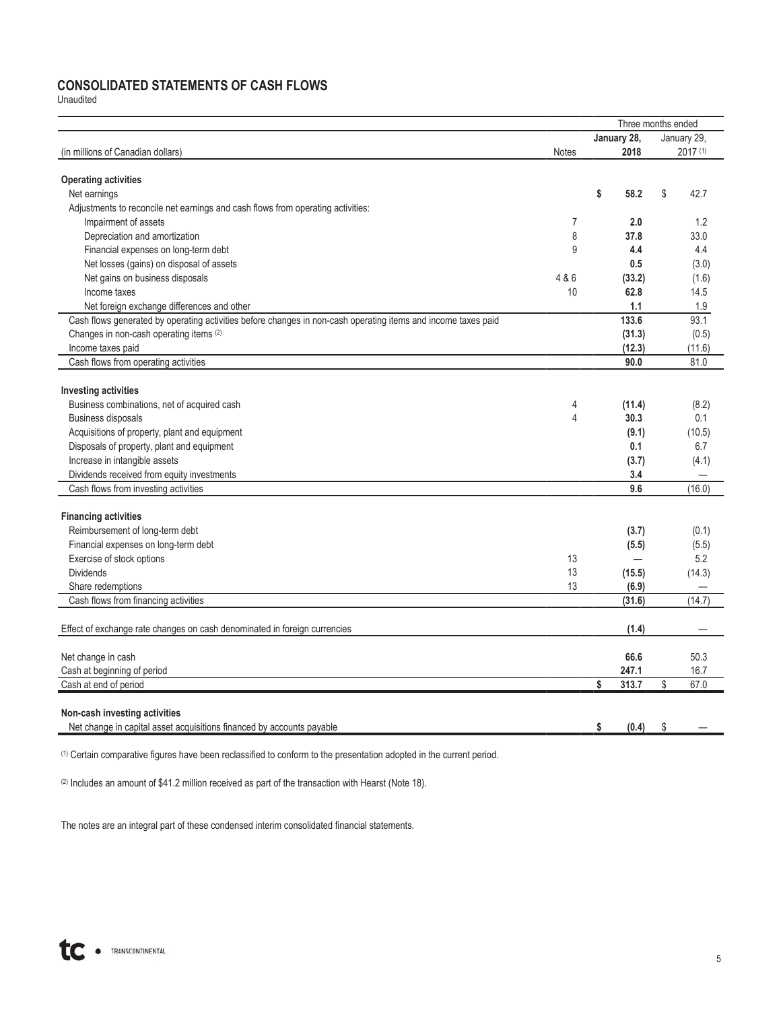## **CONSOLIDATED STATEMENTS OF CASH FLOWS**

Unaudited

|                                                                                                               |                |             | Three months ended |             |  |  |  |
|---------------------------------------------------------------------------------------------------------------|----------------|-------------|--------------------|-------------|--|--|--|
|                                                                                                               |                | January 28, |                    | January 29. |  |  |  |
| (in millions of Canadian dollars)                                                                             | <b>Notes</b>   | 2018        |                    | 2017 (1)    |  |  |  |
|                                                                                                               |                |             |                    |             |  |  |  |
| <b>Operating activities</b>                                                                                   |                |             |                    |             |  |  |  |
| Net earnings                                                                                                  |                | \$<br>58.2  | \$                 | 42.7        |  |  |  |
| Adjustments to reconcile net earnings and cash flows from operating activities:                               |                |             |                    |             |  |  |  |
| Impairment of assets                                                                                          | $\overline{7}$ | 2.0         |                    | 1.2         |  |  |  |
| Depreciation and amortization                                                                                 | 8              | 37.8        |                    | 33.0        |  |  |  |
| Financial expenses on long-term debt                                                                          | 9              | 4.4         |                    | 4.4         |  |  |  |
| Net losses (gains) on disposal of assets                                                                      |                | 0.5         |                    | (3.0)       |  |  |  |
| Net gains on business disposals                                                                               | 4 & 6          | (33.2)      |                    | (1.6)       |  |  |  |
| Income taxes                                                                                                  | 10             | 62.8        |                    | 14.5        |  |  |  |
| Net foreign exchange differences and other                                                                    |                | 1.1         |                    | 1.9         |  |  |  |
| Cash flows generated by operating activities before changes in non-cash operating items and income taxes paid |                | 133.6       |                    | 93.1        |  |  |  |
| Changes in non-cash operating items (2)                                                                       |                | (31.3)      |                    | (0.5)       |  |  |  |
| Income taxes paid                                                                                             |                | (12.3)      |                    | (11.6)      |  |  |  |
| Cash flows from operating activities                                                                          |                | 90.0        |                    | 81.0        |  |  |  |
|                                                                                                               |                |             |                    |             |  |  |  |
| <b>Investing activities</b>                                                                                   |                |             |                    |             |  |  |  |
| Business combinations, net of acquired cash                                                                   | 4              | (11.4)      |                    | (8.2)       |  |  |  |
| <b>Business disposals</b>                                                                                     | $\overline{4}$ | 30.3        |                    | 0.1         |  |  |  |
| Acquisitions of property, plant and equipment                                                                 |                | (9.1)       |                    | (10.5)      |  |  |  |
| Disposals of property, plant and equipment                                                                    |                | 0.1         |                    | 6.7         |  |  |  |
| Increase in intangible assets                                                                                 |                | (3.7)       |                    | (4.1)       |  |  |  |
| Dividends received from equity investments                                                                    |                | 3.4         |                    |             |  |  |  |
| Cash flows from investing activities                                                                          |                | 9.6         |                    | (16.0)      |  |  |  |
|                                                                                                               |                |             |                    |             |  |  |  |
| <b>Financing activities</b>                                                                                   |                |             |                    |             |  |  |  |
| Reimbursement of long-term debt                                                                               |                | (3.7)       |                    | (0.1)       |  |  |  |
| Financial expenses on long-term debt                                                                          |                | (5.5)       |                    | (5.5)       |  |  |  |
| Exercise of stock options                                                                                     | 13             | -           |                    | 5.2         |  |  |  |
| <b>Dividends</b>                                                                                              | 13             | (15.5)      |                    | (14.3)      |  |  |  |
| Share redemptions                                                                                             | 13             | (6.9)       |                    |             |  |  |  |
| Cash flows from financing activities                                                                          |                | (31.6)      |                    | (14.7)      |  |  |  |
|                                                                                                               |                |             |                    |             |  |  |  |
| Effect of exchange rate changes on cash denominated in foreign currencies                                     |                | (1.4)       |                    |             |  |  |  |
| Net change in cash                                                                                            |                | 66.6        |                    | 50.3        |  |  |  |
| Cash at beginning of period                                                                                   |                | 247.1       |                    | 16.7        |  |  |  |
| Cash at end of period                                                                                         |                | \$<br>313.7 | \$                 | 67.0        |  |  |  |
|                                                                                                               |                |             |                    |             |  |  |  |
| Non-cash investing activities                                                                                 |                |             |                    |             |  |  |  |
| Net change in capital asset acquisitions financed by accounts payable                                         |                | \$<br>(0.4) | \$                 |             |  |  |  |
|                                                                                                               |                |             |                    |             |  |  |  |

(1) Certain comparative figures have been reclassified to conform to the presentation adopted in the current period.

(2) Includes an amount of \$41.2 million received as part of the transaction with Hearst (Note 18).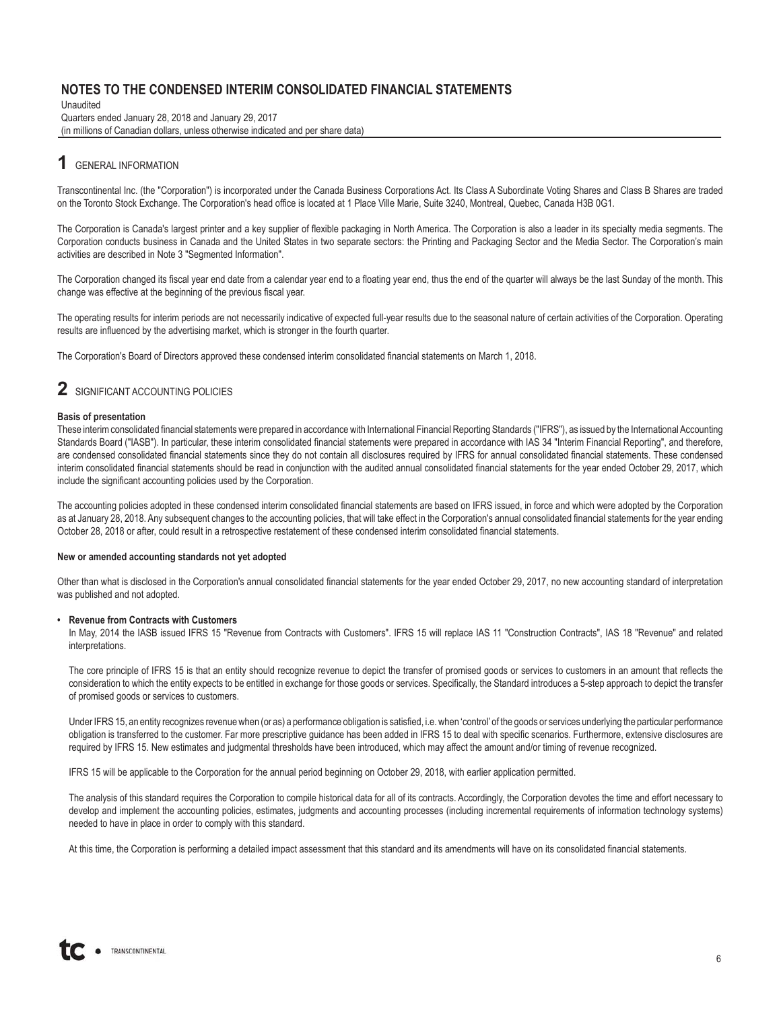Unaudited Quarters ended January 28, 2018 and January 29, 2017 (in millions of Canadian dollars, unless otherwise indicated and per share data)

## **1** GENERAL INFORMATION

Transcontinental Inc. (the "Corporation") is incorporated under the Canada Business Corporations Act. Its Class A Subordinate Voting Shares and Class B Shares are traded on the Toronto Stock Exchange. The Corporation's head office is located at 1 Place Ville Marie, Suite 3240, Montreal, Quebec, Canada H3B 0G1.

The Corporation is Canada's largest printer and a key supplier of flexible packaging in North America. The Corporation is also a leader in its specialty media segments. The Corporation conducts business in Canada and the United States in two separate sectors: the Printing and Packaging Sector and the Media Sector. The Corporation's main activities are described in Note 3 "Segmented Information".

The Corporation changed its fiscal year end date from a calendar year end to a floating year end, thus the end of the quarter will always be the last Sunday of the month. This change was effective at the beginning of the previous fiscal year.

The operating results for interim periods are not necessarily indicative of expected full-year results due to the seasonal nature of certain activities of the Corporation. Operating results are influenced by the advertising market, which is stronger in the fourth quarter.

The Corporation's Board of Directors approved these condensed interim consolidated financial statements on March 1, 2018.

## **2** SIGNIFICANT ACCOUNTING POLICIES

#### **Basis of presentation**

These interim consolidated financial statements were prepared in accordance with International Financial Reporting Standards ("IFRS"), as issued by the International Accounting Standards Board ("IASB"). In particular, these interim consolidated financial statements were prepared in accordance with IAS 34 "Interim Financial Reporting", and therefore, are condensed consolidated financial statements since they do not contain all disclosures required by IFRS for annual consolidated financial statements. These condensed interim consolidated financial statements should be read in conjunction with the audited annual consolidated financial statements for the year ended October 29, 2017, which include the significant accounting policies used by the Corporation.

The accounting policies adopted in these condensed interim consolidated financial statements are based on IFRS issued, in force and which were adopted by the Corporation as at January 28, 2018. Any subsequent changes to the accounting policies, that will take effect in the Corporation's annual consolidated financial statements for the year ending October 28, 2018 or after, could result in a retrospective restatement of these condensed interim consolidated financial statements.

#### **New or amended accounting standards not yet adopted**

Other than what is disclosed in the Corporation's annual consolidated financial statements for the year ended October 29, 2017, no new accounting standard of interpretation was published and not adopted.

#### **• Revenue from Contracts with Customers**

In May, 2014 the IASB issued IFRS 15 "Revenue from Contracts with Customers". IFRS 15 will replace IAS 11 "Construction Contracts", IAS 18 "Revenue" and related interpretations.

The core principle of IFRS 15 is that an entity should recognize revenue to depict the transfer of promised goods or services to customers in an amount that reflects the consideration to which the entity expects to be entitled in exchange for those goods or services. Specifically, the Standard introduces a 5-step approach to depict the transfer of promised goods or services to customers.

Under IFRS 15, an entity recognizes revenue when (or as) a performance obligation is satisfied, i.e. when 'control' of the goods or services underlying the particular performance obligation is transferred to the customer. Far more prescriptive guidance has been added in IFRS 15 to deal with specific scenarios. Furthermore, extensive disclosures are required by IFRS 15. New estimates and judgmental thresholds have been introduced, which may affect the amount and/or timing of revenue recognized.

IFRS 15 will be applicable to the Corporation for the annual period beginning on October 29, 2018, with earlier application permitted.

The analysis of this standard requires the Corporation to compile historical data for all of its contracts. Accordingly, the Corporation devotes the time and effort necessary to develop and implement the accounting policies, estimates, judgments and accounting processes (including incremental requirements of information technology systems) needed to have in place in order to comply with this standard.

At this time, the Corporation is performing a detailed impact assessment that this standard and its amendments will have on its consolidated financial statements.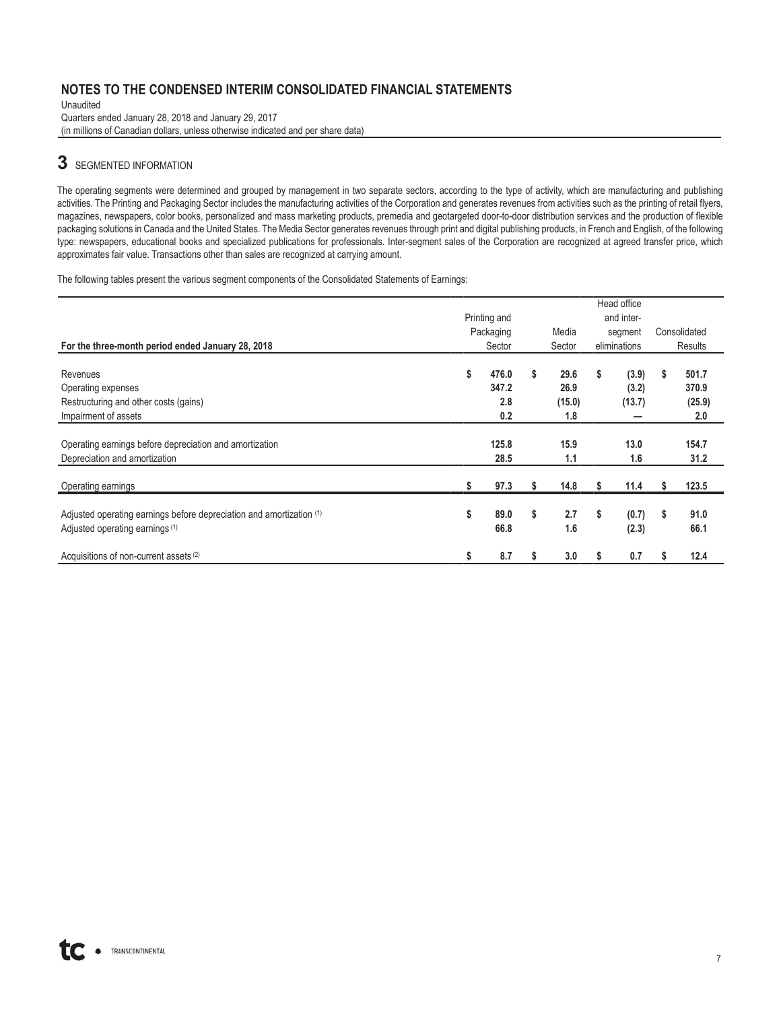Unaudited Quarters ended January 28, 2018 and January 29, 2017 (in millions of Canadian dollars, unless otherwise indicated and per share data)

## **3** SEGMENTED INFORMATION

The operating segments were determined and grouped by management in two separate sectors, according to the type of activity, which are manufacturing and publishing activities. The Printing and Packaging Sector includes the manufacturing activities of the Corporation and generates revenues from activities such as the printing of retail flyers, magazines, newspapers, color books, personalized and mass marketing products, premedia and geotargeted door-to-door distribution services and the production of flexible packaging solutions in Canada and the United States. The Media Sector generates revenues through print and digital publishing products, in French and English, of the following type: newspapers, educational books and specialized publications for professionals. Inter-segment sales of the Corporation are recognized at agreed transfer price, which approximates fair value. Transactions other than sales are recognized at carrying amount.

The following tables present the various segment components of the Consolidated Statements of Earnings:

|                                                                      |              |           |    |        |            | Head office  |    |              |  |
|----------------------------------------------------------------------|--------------|-----------|----|--------|------------|--------------|----|--------------|--|
|                                                                      | Printing and |           |    |        | and inter- |              |    |              |  |
|                                                                      |              | Packaging |    | Media  | segment    |              |    | Consolidated |  |
| For the three-month period ended January 28, 2018                    |              | Sector    |    | Sector |            | eliminations |    | Results      |  |
| Revenues                                                             | \$           | 476.0     | \$ | 29.6   | s.         | (3.9)        | s  | 501.7        |  |
| Operating expenses                                                   |              | 347.2     |    | 26.9   |            | (3.2)        |    | 370.9        |  |
| Restructuring and other costs (gains)                                |              | 2.8       |    | (15.0) |            | (13.7)       |    | (25.9)       |  |
| Impairment of assets                                                 |              | 0.2       |    | 1.8    |            |              |    | 2.0          |  |
|                                                                      |              |           |    |        |            |              |    |              |  |
| Operating earnings before depreciation and amortization              |              | 125.8     |    | 15.9   |            | 13.0         |    | 154.7        |  |
| Depreciation and amortization                                        |              | 28.5      |    | 1.1    |            | 1.6          |    | 31.2         |  |
| Operating earnings                                                   |              | 97.3      |    | 14.8   |            | 11.4         |    | 123.5        |  |
|                                                                      |              |           |    |        |            |              |    |              |  |
| Adjusted operating earnings before depreciation and amortization (1) | \$           | 89.0      | \$ | 2.7    | \$         | (0.7)        | \$ | 91.0         |  |
| Adjusted operating earnings <sup>(1)</sup>                           |              | 66.8      |    | 1.6    |            | (2.3)        |    | 66.1         |  |
| Acquisitions of non-current assets (2)                               | \$           | 8.7       |    | 3.0    |            | 0.7          | s  | 12.4         |  |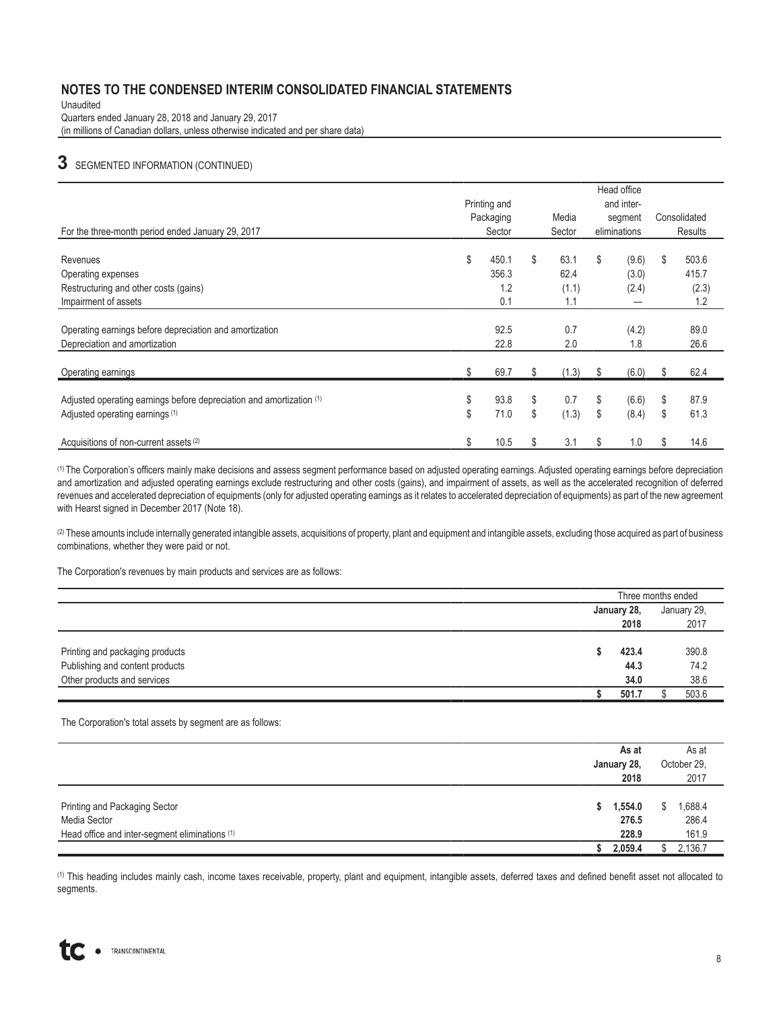Unaudited

Quarters ended January 28, 2018 and January 29, 2017

(in millions of Canadian dollars, unless otherwise indicated and per share data)

## **3** SEGMENTED INFORMATION (CONTINUED)

|                                                                      |              |           |             |    | Head office  |    |              |  |  |
|----------------------------------------------------------------------|--------------|-----------|-------------|----|--------------|----|--------------|--|--|
|                                                                      | Printing and |           |             |    |              |    | and inter-   |  |  |
|                                                                      |              | Packaging | Media       |    | segment      |    | Consolidated |  |  |
| For the three-month period ended January 29, 2017                    |              | Sector    | Sector      |    | eliminations |    | Results      |  |  |
|                                                                      |              |           | \$          |    |              |    |              |  |  |
| Revenues                                                             | \$           | 450.1     | 63.1        | \$ | (9.6)        | \$ | 503.6        |  |  |
| Operating expenses                                                   |              | 356.3     | 62.4        |    | (3.0)        |    | 415.7        |  |  |
| Restructuring and other costs (gains)                                |              | 1.2       | (1.1)       |    | (2.4)        |    | (2.3)        |  |  |
| Impairment of assets                                                 |              | 0.1       | 1.1         |    |              |    | 1.2          |  |  |
|                                                                      |              |           |             |    |              |    |              |  |  |
| Operating earnings before depreciation and amortization              |              | 92.5      | 0.7         |    | (4.2)        |    | 89.0         |  |  |
| Depreciation and amortization                                        |              | 22.8      | 2.0         |    | 1.8          |    | 26.6         |  |  |
|                                                                      |              |           |             |    |              |    |              |  |  |
| Operating earnings                                                   |              | 69.7      | (1.3)       |    | (6.0)        |    | 62.4         |  |  |
|                                                                      |              |           |             |    |              |    |              |  |  |
| Adjusted operating earnings before depreciation and amortization (1) | \$           | 93.8      | \$<br>0.7   | \$ | (6.6)        | \$ | 87.9         |  |  |
| Adjusted operating earnings (1)                                      | \$           | 71.0      | \$<br>(1.3) | \$ | (8.4)        | \$ | 61.3         |  |  |
| Acquisitions of non-current assets (2)                               | \$           | 10.5      | 3.1         | S  | 1.0          | \$ | 14.6         |  |  |

(1) The Corporation's officers mainly make decisions and assess segment performance based on adjusted operating earnings. Adjusted operating earnings before depreciation and amortization and adjusted operating earnings exclude restructuring and other costs (gains), and impairment of assets, as well as the accelerated recognition of deferred revenues and accelerated depreciation of equipments (only for adjusted operating earnings as it relates to accelerated depreciation of equipments) as part of the new agreement with Hearst signed in December 2017 (Note 18).

(2) These amounts include internally generated intangible assets, acquisitions of property, plant and equipment and intangible assets, excluding those acquired as part of business combinations, whether they were paid or not.

The Corporation's revenues by main products and services are as follows:

|  |       |             | January 29.        |
|--|-------|-------------|--------------------|
|  | 2018  |             | 2017               |
|  |       |             |                    |
|  | 423.4 |             | 390.8              |
|  | 44.3  |             | 74.2               |
|  | 34.0  |             | 38.6               |
|  | 501.7 |             | 503.6              |
|  |       | January 28, | Three months ended |

The Corporation's total assets by segment are as follows:

|                                                | As at<br>January 28,<br>2018 | As at<br>October 29,<br>2017 |  |
|------------------------------------------------|------------------------------|------------------------------|--|
| Printing and Packaging Sector<br>Media Sector  | 1,554.0<br>276.5             | 1,688.4<br>286.4             |  |
| Head office and inter-segment eliminations (1) | 228.9                        | 161.9                        |  |
|                                                | 2,059.4                      | 2,136.7                      |  |

(1) This heading includes mainly cash, income taxes receivable, property, plant and equipment, intangible assets, deferred taxes and defined benefit asset not allocated to segments.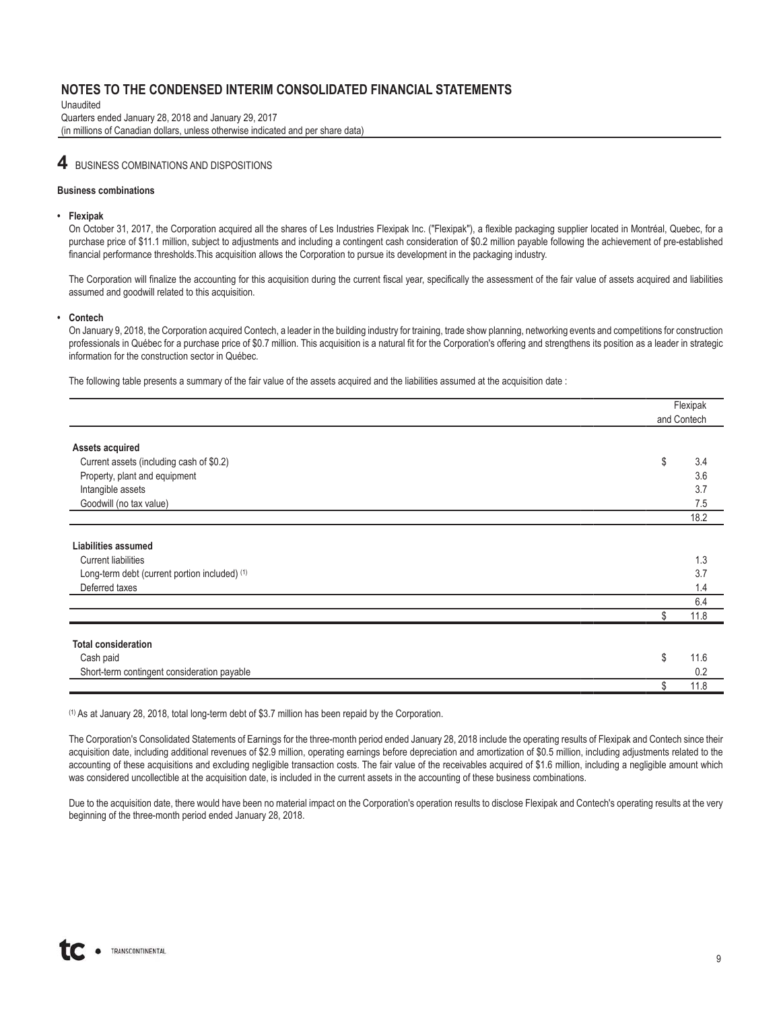Unaudited Quarters ended January 28, 2018 and January 29, 2017 (in millions of Canadian dollars, unless otherwise indicated and per share data)

### **4** BUSINESS COMBINATIONS AND DISPOSITIONS

#### **Business combinations**

#### **• Flexipak**

On October 31, 2017, the Corporation acquired all the shares of Les Industries Flexipak Inc. ("Flexipak"), a flexible packaging supplier located in Montréal, Quebec, for a purchase price of \$11.1 million, subject to adjustments and including a contingent cash consideration of \$0.2 million payable following the achievement of pre-established financial performance thresholds.This acquisition allows the Corporation to pursue its development in the packaging industry.

The Corporation will finalize the accounting for this acquisition during the current fiscal year, specifically the assessment of the fair value of assets acquired and liabilities assumed and goodwill related to this acquisition.

#### **• Contech**

On January 9, 2018, the Corporation acquired Contech, a leader in the building industry for training, trade show planning, networking events and competitions for construction professionals in Québec for a purchase price of \$0.7 million. This acquisition is a natural fit for the Corporation's offering and strengthens its position as a leader in strategic information for the construction sector in Québec.

The following table presents a summary of the fair value of the assets acquired and the liabilities assumed at the acquisition date :

|                                               | Flexipak    |
|-----------------------------------------------|-------------|
|                                               | and Contech |
| <b>Assets acquired</b>                        |             |
| Current assets (including cash of \$0.2)      | \$<br>3.4   |
| Property, plant and equipment                 | 3.6         |
| Intangible assets                             | 3.7         |
| Goodwill (no tax value)                       | 7.5         |
|                                               | 18.2        |
| <b>Liabilities assumed</b>                    |             |
| <b>Current liabilities</b>                    | 1.3         |
| Long-term debt (current portion included) (1) | 3.7         |
| Deferred taxes                                | 1.4         |
|                                               | 6.4         |
|                                               | \$<br>11.8  |
| <b>Total consideration</b>                    |             |
| Cash paid                                     | \$<br>11.6  |
| Short-term contingent consideration payable   | 0.2         |
|                                               | 11.8<br>\$  |

(1) As at January 28, 2018, total long-term debt of \$3.7 million has been repaid by the Corporation.

The Corporation's Consolidated Statements of Earnings for the three-month period ended January 28, 2018 include the operating results of Flexipak and Contech since their acquisition date, including additional revenues of \$2.9 million, operating earnings before depreciation and amortization of \$0.5 million, including adjustments related to the accounting of these acquisitions and excluding negligible transaction costs. The fair value of the receivables acquired of \$1.6 million, including a negligible amount which was considered uncollectible at the acquisition date, is included in the current assets in the accounting of these business combinations.

Due to the acquisition date, there would have been no material impact on the Corporation's operation results to disclose Flexipak and Contech's operating results at the very beginning of the three-month period ended January 28, 2018.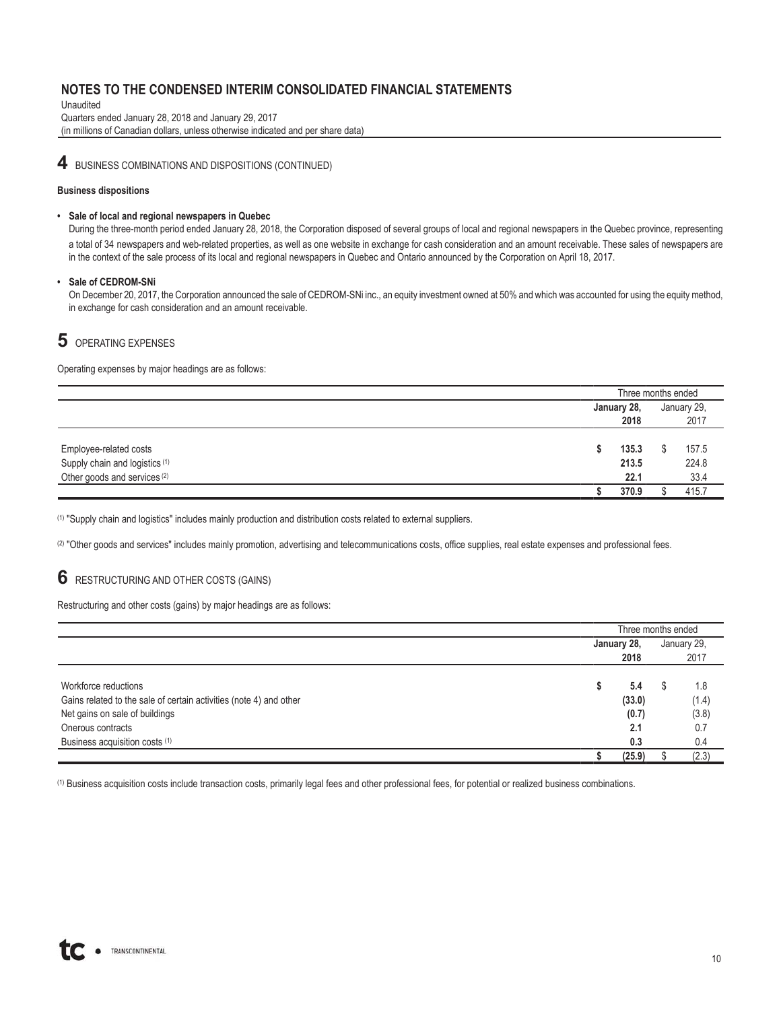Unaudited Quarters ended January 28, 2018 and January 29, 2017 (in millions of Canadian dollars, unless otherwise indicated and per share data)

**4** BUSINESS COMBINATIONS AND DISPOSITIONS (CONTINUED)

#### **Business dispositions**

#### **• Sale of local and regional newspapers in Quebec**

During the three-month period ended January 28, 2018, the Corporation disposed of several groups of local and regional newspapers in the Quebec province, representing a total of 34 newspapers and web-related properties, as well as one website in exchange for cash consideration and an amount receivable. These sales of newspapers are in the context of the sale process of its local and regional newspapers in Quebec and Ontario announced by the Corporation on April 18, 2017.

#### **• Sale of CEDROM-SNi**

On December 20, 2017, the Corporation announced the sale of CEDROM-SNi inc., an equity investment owned at 50% and which was accounted for using the equity method, in exchange for cash consideration and an amount receivable.

## **5** OPERATING EXPENSES

Operating expenses by major headings are as follows:

|                                           | Three months ended |       |  |             |
|-------------------------------------------|--------------------|-------|--|-------------|
|                                           | January 28,        |       |  | January 29, |
|                                           |                    | 2018  |  | 2017        |
|                                           |                    |       |  |             |
| Employee-related costs                    |                    | 135.3 |  | 157.5       |
| Supply chain and logistics <sup>(1)</sup> |                    | 213.5 |  | 224.8       |
| Other goods and services <sup>(2)</sup>   |                    | 22.1  |  | 33.4        |
|                                           |                    | 370.9 |  | 415.7       |

(1) "Supply chain and logistics" includes mainly production and distribution costs related to external suppliers.

(2) "Other goods and services" includes mainly promotion, advertising and telecommunications costs, office supplies, real estate expenses and professional fees.

### **6** RESTRUCTURING AND OTHER COSTS (GAINS)

Restructuring and other costs (gains) by major headings are as follows:

|                                                                    | Three months ended |        |  |             |  |
|--------------------------------------------------------------------|--------------------|--------|--|-------------|--|
|                                                                    | January 28,        |        |  | January 29. |  |
|                                                                    |                    | 2018   |  | 2017        |  |
|                                                                    |                    |        |  |             |  |
| Workforce reductions                                               |                    | 5.4    |  | 1.8         |  |
| Gains related to the sale of certain activities (note 4) and other |                    | (33.0) |  | (1.4)       |  |
| Net gains on sale of buildings                                     |                    | (0.7)  |  | (3.8)       |  |
| Onerous contracts                                                  |                    | 2.1    |  | 0.7         |  |
| Business acquisition costs (1)                                     |                    | 0.3    |  | 0.4         |  |
|                                                                    |                    | (25.9) |  | (2.3)       |  |

(1) Business acquisition costs include transaction costs, primarily legal fees and other professional fees, for potential or realized business combinations.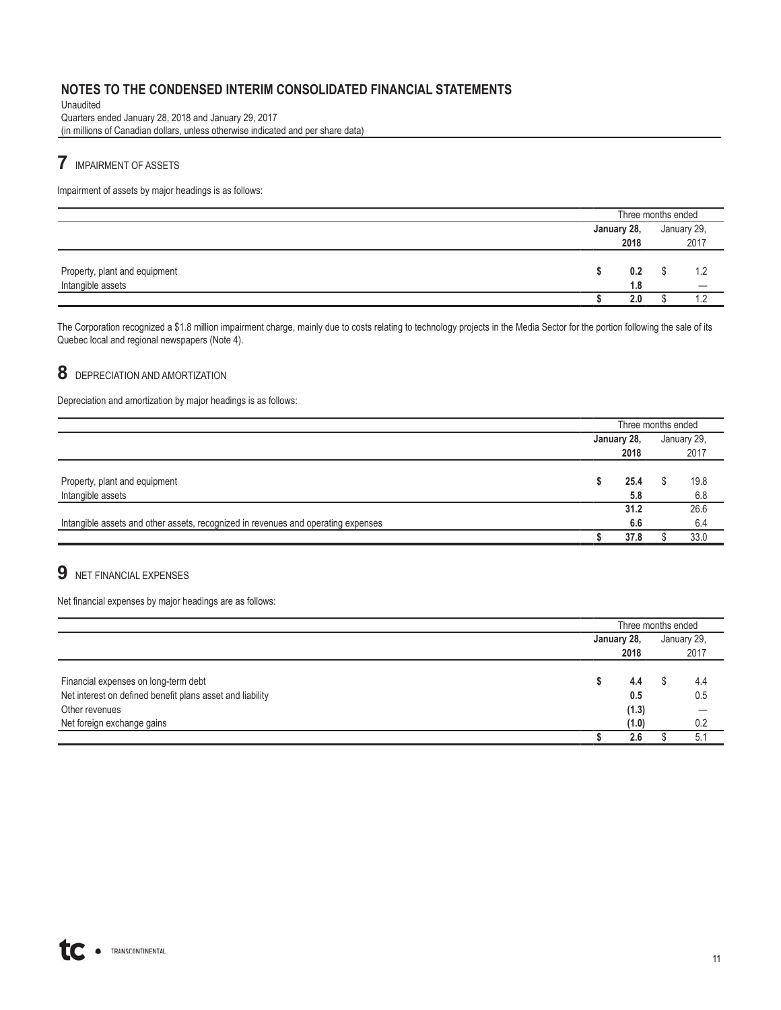Unaudited Quarters ended January 28, 2018 and January 29, 2017 (in millions of Canadian dollars, unless otherwise indicated and per share data)

## **7** IMPAIRMENT OF ASSETS

Impairment of assets by major headings is as follows:

|                                                    | Three months ended  |     |  |             |
|----------------------------------------------------|---------------------|-----|--|-------------|
|                                                    | January 28,<br>2018 |     |  | January 29, |
|                                                    |                     |     |  | 2017        |
| Property, plant and equipment<br>Intangible assets | 0.2<br>1.8          |     |  |             |
|                                                    |                     | 2.0 |  |             |

The Corporation recognized a \$1.8 million impairment charge, mainly due to costs relating to technology projects in the Media Sector for the portion following the sale of its Quebec local and regional newspapers (Note 4).

## **8** DEPRECIATION AND AMORTIZATION

Depreciation and amortization by major headings is as follows:

|                                                                                   | Three months ended |      |    |             |
|-----------------------------------------------------------------------------------|--------------------|------|----|-------------|
|                                                                                   | January 28,        |      |    | January 29. |
|                                                                                   |                    | 2018 |    | 2017        |
|                                                                                   |                    |      |    |             |
| Property, plant and equipment                                                     |                    | 25.4 | J. | 19.8        |
| Intangible assets                                                                 |                    | 5.8  |    | 6.8         |
|                                                                                   |                    | 31.2 |    | 26.6        |
| Intangible assets and other assets, recognized in revenues and operating expenses |                    | 6.6  |    | 6.4         |
|                                                                                   |                    | 37.8 |    | 33.0        |

## **9** NET FINANCIAL EXPENSES

Net financial expenses by major headings are as follows:

|                                                           | Three months ended |       |      |             |
|-----------------------------------------------------------|--------------------|-------|------|-------------|
|                                                           | January 28,        |       |      | January 29, |
|                                                           | 2018               |       | 2017 |             |
|                                                           |                    |       |      |             |
| Financial expenses on long-term debt                      |                    | 4.4   |      | 4.4         |
| Net interest on defined benefit plans asset and liability |                    | 0.5   |      | 0.5         |
| Other revenues                                            |                    | (1.3) |      |             |
| Net foreign exchange gains                                |                    | (1.0) |      | 0.2         |
|                                                           |                    | 2.6   |      | 5.1         |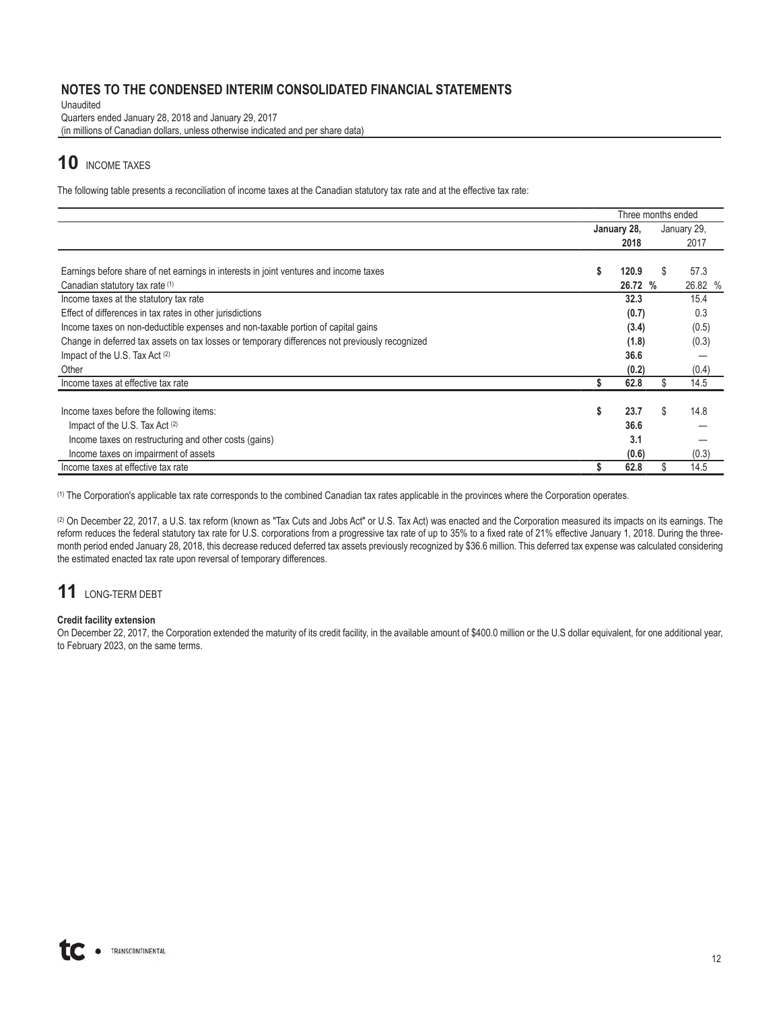Unaudited

Quarters ended January 28, 2018 and January 29, 2017 (in millions of Canadian dollars, unless otherwise indicated and per share data)

# **10** INCOME TAXES

The following table presents a reconciliation of income taxes at the Canadian statutory tax rate and at the effective tax rate:

|                                                                                                | Three months ended |         |    |             |
|------------------------------------------------------------------------------------------------|--------------------|---------|----|-------------|
|                                                                                                | January 28,        |         |    | January 29, |
|                                                                                                |                    | 2018    |    | 2017        |
|                                                                                                |                    |         |    |             |
| Earnings before share of net earnings in interests in joint ventures and income taxes          | S                  | 120.9   | \$ | 57.3        |
| Canadian statutory tax rate (1)                                                                |                    | 26.72 % |    | 26.82 %     |
| Income taxes at the statutory tax rate                                                         |                    | 32.3    |    | 15.4        |
| Effect of differences in tax rates in other jurisdictions                                      |                    | (0.7)   |    | 0.3         |
| Income taxes on non-deductible expenses and non-taxable portion of capital gains               |                    | (3.4)   |    | (0.5)       |
| Change in deferred tax assets on tax losses or temporary differences not previously recognized |                    | (1.8)   |    | (0.3)       |
| Impact of the U.S. Tax Act (2)                                                                 |                    | 36.6    |    |             |
| Other                                                                                          |                    | (0.2)   |    | (0.4)       |
| Income taxes at effective tax rate                                                             |                    | 62.8    |    | 14.5        |
| Income taxes before the following items:                                                       | S                  | 23.7    | \$ | 14.8        |
| Impact of the U.S. Tax Act (2)                                                                 |                    | 36.6    |    |             |
| Income taxes on restructuring and other costs (gains)                                          |                    | 3.1     |    |             |
| Income taxes on impairment of assets                                                           |                    | (0.6)   |    | (0.3)       |
| Income taxes at effective tax rate                                                             |                    | 62.8    | \$ | 14.5        |

(1) The Corporation's applicable tax rate corresponds to the combined Canadian tax rates applicable in the provinces where the Corporation operates.

(2) On December 22, 2017, a U.S. tax reform (known as "Tax Cuts and Jobs Act" or U.S. Tax Act) was enacted and the Corporation measured its impacts on its earnings. The reform reduces the federal statutory tax rate for U.S. corporations from a progressive tax rate of up to 35% to a fixed rate of 21% effective January 1, 2018. During the threemonth period ended January 28, 2018, this decrease reduced deferred tax assets previously recognized by \$36.6 million. This deferred tax expense was calculated considering the estimated enacted tax rate upon reversal of temporary differences.

# **11** LONG-TERM DEBT

### **Credit facility extension**

On December 22, 2017, the Corporation extended the maturity of its credit facility, in the available amount of \$400.0 million or the U.S dollar equivalent, for one additional year, to February 2023, on the same terms.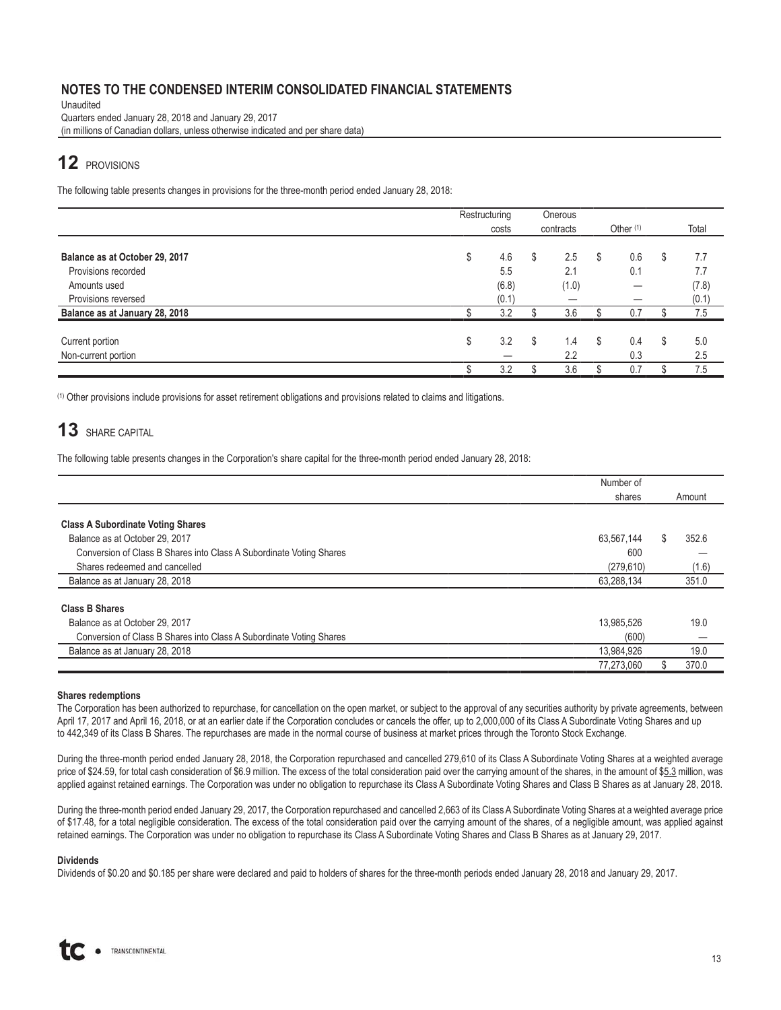Unaudited Quarters ended January 28, 2018 and January 29, 2017 (in millions of Canadian dollars, unless otherwise indicated and per share data)

## **12** PROVISIONS

The following table presents changes in provisions for the three-month period ended January 28, 2018:

|                                | Restructuring |    | Onerous   |    |             |           |
|--------------------------------|---------------|----|-----------|----|-------------|-----------|
|                                | costs         |    | contracts |    | Other $(1)$ | Total     |
|                                |               |    |           |    |             |           |
| Balance as at October 29, 2017 | \$<br>4.6     | \$ | 2.5       | S  | 0.6         | \$<br>7.7 |
| Provisions recorded            | 5.5           |    | 2.1       |    | 0.1         | 7.7       |
| Amounts used                   | (6.8)         |    | (1.0)     |    | –           | (7.8)     |
| Provisions reversed            | (0.1)         |    |           |    |             | (0.1)     |
| Balance as at January 28, 2018 | 3.2           |    | 3.6       |    | 0.7         | 7.5       |
| Current portion                | 3.2<br>\$     | S  | 1.4       | S. | 0.4         | \$<br>5.0 |
| Non-current portion            |               |    | 2.2       |    | 0.3         | 2.5       |
|                                | 3.2           |    | 3.6       |    | 0.7         | 7.5       |

(1) Other provisions include provisions for asset retirement obligations and provisions related to claims and litigations.

## **13** SHARE CAPITAL

The following table presents changes in the Corporation's share capital for the three-month period ended January 28, 2018:

|                                                                     | Number of  |        |       |  |
|---------------------------------------------------------------------|------------|--------|-------|--|
|                                                                     | shares     | Amount |       |  |
|                                                                     |            |        |       |  |
| <b>Class A Subordinate Voting Shares</b>                            |            |        |       |  |
| Balance as at October 29, 2017                                      | 63,567,144 | S.     | 352.6 |  |
| Conversion of Class B Shares into Class A Subordinate Voting Shares | 600        |        |       |  |
| Shares redeemed and cancelled                                       | (279, 610) |        | (1.6) |  |
| Balance as at January 28, 2018                                      | 63,288,134 |        | 351.0 |  |
| <b>Class B Shares</b>                                               |            |        |       |  |
| Balance as at October 29, 2017                                      | 13,985,526 |        | 19.0  |  |
| Conversion of Class B Shares into Class A Subordinate Voting Shares | (600)      |        |       |  |
| Balance as at January 28, 2018                                      | 13,984,926 |        | 19.0  |  |
|                                                                     | 77,273,060 |        | 370.0 |  |

#### **Shares redemptions**

The Corporation has been authorized to repurchase, for cancellation on the open market, or subject to the approval of any securities authority by private agreements, between April 17, 2017 and April 16, 2018, or at an earlier date if the Corporation concludes or cancels the offer, up to 2,000,000 of its Class A Subordinate Voting Shares and up to 442,349 of its Class B Shares. The repurchases are made in the normal course of business at market prices through the Toronto Stock Exchange.

During the three-month period ended January 28, 2018, the Corporation repurchased and cancelled 279,610 of its Class A Subordinate Voting Shares at a weighted average price of \$24.59, for total cash consideration of \$6.9 million. The excess of the total consideration paid over the carrying amount of the shares, in the amount of \$5.3 million, was applied against retained earnings. The Corporation was under no obligation to repurchase its Class A Subordinate Voting Shares and Class B Shares as at January 28, 2018.

During the three-month period ended January 29, 2017, the Corporation repurchased and cancelled 2,663 of its Class A Subordinate Voting Shares at a weighted average price of \$17.48, for a total negligible consideration. The excess of the total consideration paid over the carrying amount of the shares, of a negligible amount, was applied against retained earnings. The Corporation was under no obligation to repurchase its Class A Subordinate Voting Shares and Class B Shares as at January 29, 2017.

#### **Dividends**

Dividends of \$0.20 and \$0.185 per share were declared and paid to holders of shares for the three-month periods ended January 28, 2018 and January 29, 2017.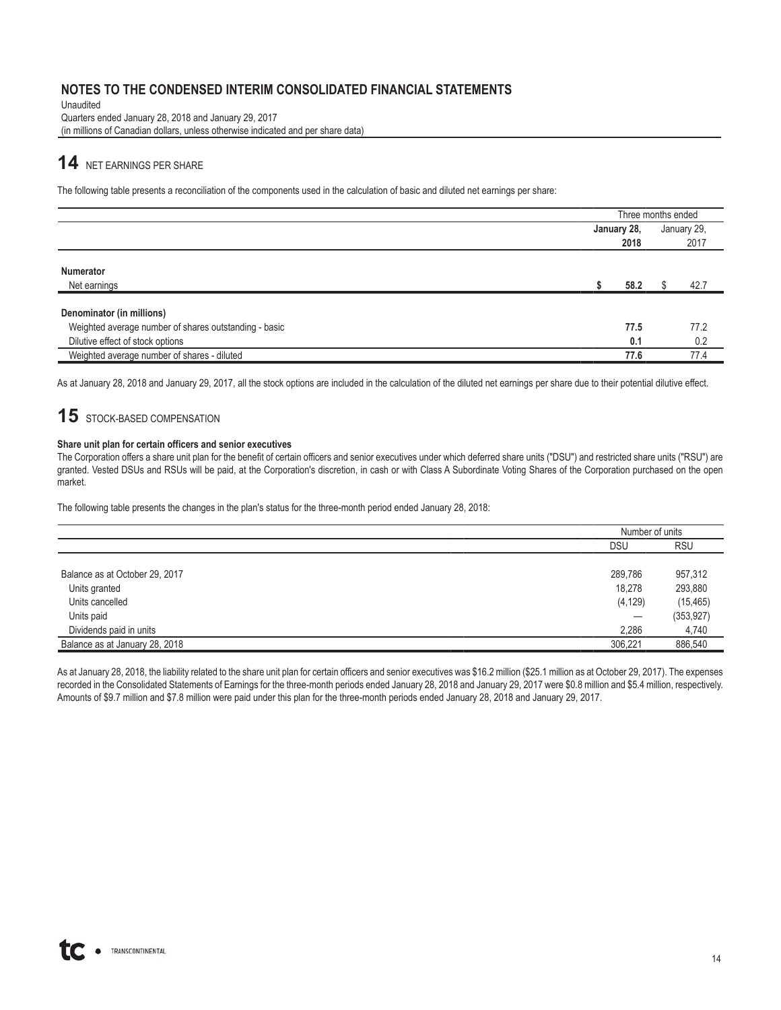Unaudited Quarters ended January 28, 2018 and January 29, 2017 (in millions of Canadian dollars, unless otherwise indicated and per share data)

## **14** NET EARNINGS PER SHARE

The following table presents a reconciliation of the components used in the calculation of basic and diluted net earnings per share:

|                                                       |             | Three months ended |             |
|-------------------------------------------------------|-------------|--------------------|-------------|
|                                                       | January 28, |                    | January 29, |
|                                                       |             | 2018               | 2017        |
| <b>Numerator</b><br>Net earnings                      |             | 58.2               | 42.7        |
| Denominator (in millions)                             |             |                    |             |
| Weighted average number of shares outstanding - basic |             | 77.5               | 77.2        |
| Dilutive effect of stock options                      |             | 0.1                | 0.2         |
| Weighted average number of shares - diluted           |             | 77.6               | 77.4        |

As at January 28, 2018 and January 29, 2017, all the stock options are included in the calculation of the diluted net earnings per share due to their potential dilutive effect.

## **15** STOCK-BASED COMPENSATION

#### **Share unit plan for certain officers and senior executives**

The Corporation offers a share unit plan for the benefit of certain officers and senior executives under which deferred share units ("DSU") and restricted share units ("RSU") are granted. Vested DSUs and RSUs will be paid, at the Corporation's discretion, in cash or with Class A Subordinate Voting Shares of the Corporation purchased on the open market.

The following table presents the changes in the plan's status for the three-month period ended January 28, 2018:

|                                | Number of units |            |
|--------------------------------|-----------------|------------|
|                                | <b>DSU</b>      | <b>RSU</b> |
|                                |                 |            |
| Balance as at October 29, 2017 | 289,786         | 957,312    |
| Units granted                  | 18,278          | 293,880    |
| Units cancelled                | (4, 129)        | (15, 465)  |
| Units paid                     |                 | (353, 927) |
| Dividends paid in units        | 2,286           | 4,740      |
| Balance as at January 28, 2018 | 306,221         | 886,540    |

As at January 28, 2018, the liability related to the share unit plan for certain officers and senior executives was \$16.2 million (\$25.1 million as at October 29, 2017). The expenses recorded in the Consolidated Statements of Earnings for the three-month periods ended January 28, 2018 and January 29, 2017 were \$0.8 million and \$5.4 million, respectively. Amounts of \$9.7 million and \$7.8 million were paid under this plan for the three-month periods ended January 28, 2018 and January 29, 2017.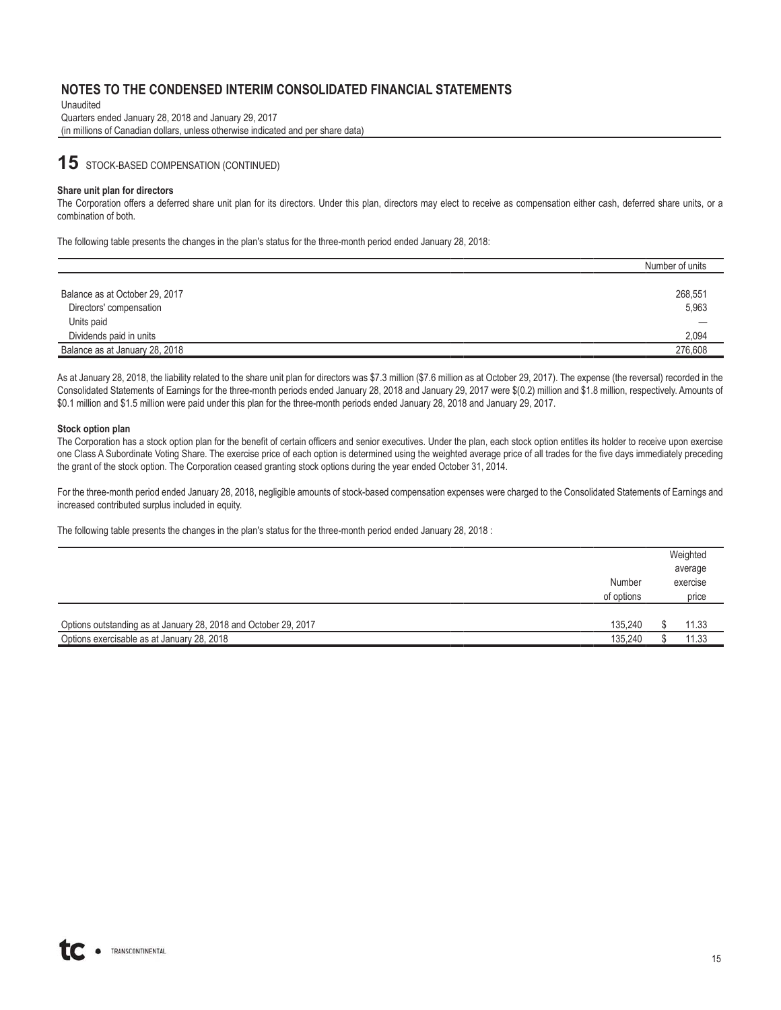Unaudited Quarters ended January 28, 2018 and January 29, 2017 (in millions of Canadian dollars, unless otherwise indicated and per share data)

## **15** STOCK-BASED COMPENSATION (CONTINUED)

#### **Share unit plan for directors**

The Corporation offers a deferred share unit plan for its directors. Under this plan, directors may elect to receive as compensation either cash, deferred share units, or a combination of both.

The following table presents the changes in the plan's status for the three-month period ended January 28, 2018:

|                                | Number of units |
|--------------------------------|-----------------|
| Balance as at October 29, 2017 | 268,551         |
| Directors' compensation        | 5,963           |
| Units paid                     |                 |
| Dividends paid in units        | 2,094           |
| Balance as at January 28, 2018 | 276.608         |

As at January 28, 2018, the liability related to the share unit plan for directors was \$7.3 million (\$7.6 million as at October 29, 2017). The expense (the reversal) recorded in the Consolidated Statements of Earnings for the three-month periods ended January 28, 2018 and January 29, 2017 were \$(0.2) million and \$1.8 million, respectively. Amounts of \$0.1 million and \$1.5 million were paid under this plan for the three-month periods ended January 28, 2018 and January 29, 2017.

#### **Stock option plan**

The Corporation has a stock option plan for the benefit of certain officers and senior executives. Under the plan, each stock option entitles its holder to receive upon exercise one Class A Subordinate Voting Share. The exercise price of each option is determined using the weighted average price of all trades for the five days immediately preceding the grant of the stock option. The Corporation ceased granting stock options during the year ended October 31, 2014.

For the three-month period ended January 28, 2018, negligible amounts of stock-based compensation expenses were charged to the Consolidated Statements of Earnings and increased contributed surplus included in equity.

The following table presents the changes in the plan's status for the three-month period ended January 28, 2018 :

|                                                                                                               |                      | Weighted<br>average |
|---------------------------------------------------------------------------------------------------------------|----------------------|---------------------|
|                                                                                                               | Number<br>of options | exercise<br>price   |
|                                                                                                               |                      |                     |
| Options outstanding as at January 28, 2018 and October 29, 2017<br>Options exercisable as at January 28, 2018 | 135,240<br>135.240   | 11.33<br>11.33      |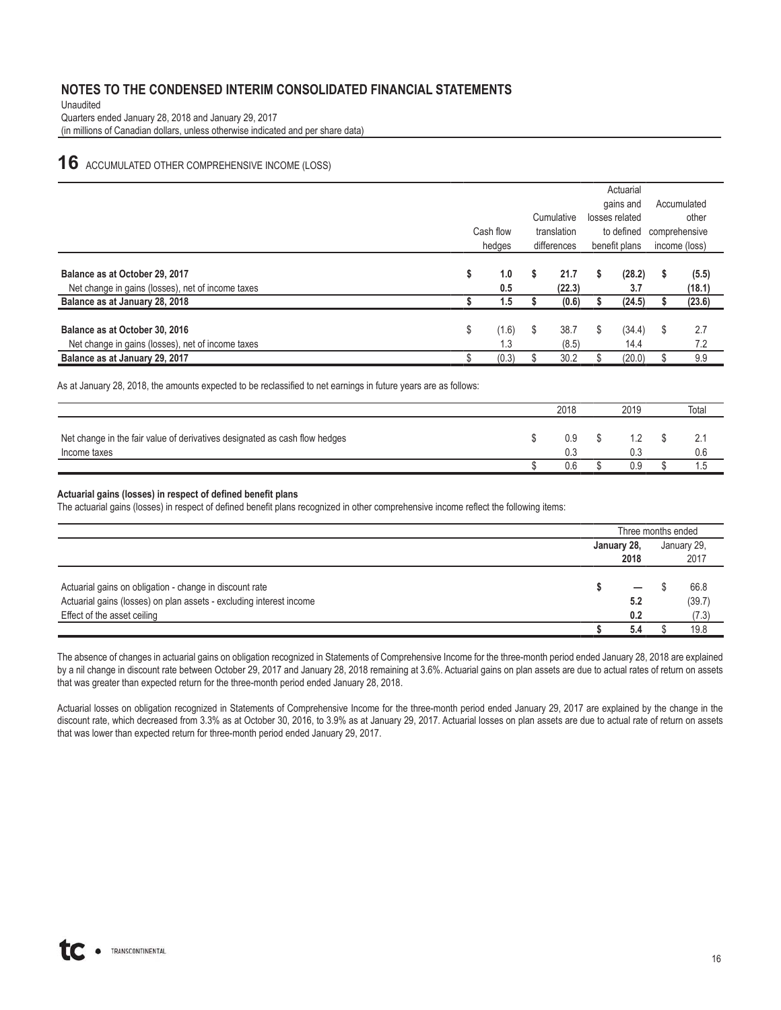Unaudited Quarters ended January 28, 2018 and January 29, 2017 (in millions of Canadian dollars, unless otherwise indicated and per share data)

## **16** ACCUMULATED OTHER COMPREHENSIVE INCOME (LOSS)

|                                                                                     |                    |    |                |               | Actuarial      |             |                 |  |
|-------------------------------------------------------------------------------------|--------------------|----|----------------|---------------|----------------|-------------|-----------------|--|
|                                                                                     |                    |    |                |               | gains and      | Accumulated |                 |  |
|                                                                                     | Cumulative         |    |                |               | losses related | other       |                 |  |
|                                                                                     | Cash flow          |    | translation    | to defined    |                |             | comprehensive   |  |
|                                                                                     | hedges             |    | differences    | benefit plans |                |             | income (loss)   |  |
| Balance as at October 29, 2017<br>Net change in gains (losses), net of income taxes | \$<br>1.0<br>0.5   | \$ | 21.7<br>(22.3) | S             | (28.2)<br>3.7  | S           | (5.5)<br>(18.1) |  |
| Balance as at January 28, 2018                                                      | 1.5                |    | (0.6)          |               | (24.5)         |             | (23.6)          |  |
| Balance as at October 30, 2016<br>Net change in gains (losses), net of income taxes | \$<br>(1.6)<br>1.3 | S  | 38.7<br>(8.5)  | \$            | (34.4)<br>14.4 | \$          | 2.7<br>7.2      |  |
| Balance as at January 29, 2017                                                      | (0.3)              |    | 30.2           |               | (20.0)         |             | 9.9             |  |

As at January 28, 2018, the amounts expected to be reclassified to net earnings in future years are as follows:

|                                                                                            | 2018       | 2019 | Total |
|--------------------------------------------------------------------------------------------|------------|------|-------|
| Net change in the fair value of derivatives designated as cash flow hedges<br>Income taxes | 0.9<br>0.3 |      | 0.6   |
|                                                                                            | U.6        | 0.S  | ט. ו  |

#### **Actuarial gains (losses) in respect of defined benefit plans**

The actuarial gains (losses) in respect of defined benefit plans recognized in other comprehensive income reflect the following items:

|                                                                     |             | Three months ended |             |  |  |
|---------------------------------------------------------------------|-------------|--------------------|-------------|--|--|
|                                                                     | January 28, |                    | January 29, |  |  |
|                                                                     | 2018        | 2017               |             |  |  |
|                                                                     |             |                    |             |  |  |
| Actuarial gains on obligation - change in discount rate             |             |                    | 66.8        |  |  |
| Actuarial gains (losses) on plan assets - excluding interest income | 5.2         |                    | (39.7)      |  |  |
| Effect of the asset ceiling                                         | 0.2         |                    | (7.3)       |  |  |
|                                                                     | 5.4         |                    | 19.8        |  |  |

The absence of changes in actuarial gains on obligation recognized in Statements of Comprehensive Income for the three-month period ended January 28, 2018 are explained by a nil change in discount rate between October 29, 2017 and January 28, 2018 remaining at 3.6%. Actuarial gains on plan assets are due to actual rates of return on assets that was greater than expected return for the three-month period ended January 28, 2018.

Actuarial losses on obligation recognized in Statements of Comprehensive Income for the three-month period ended January 29, 2017 are explained by the change in the discount rate, which decreased from 3.3% as at October 30, 2016, to 3.9% as at January 29, 2017. Actuarial losses on plan assets are due to actual rate of return on assets that was lower than expected return for three-month period ended January 29, 2017.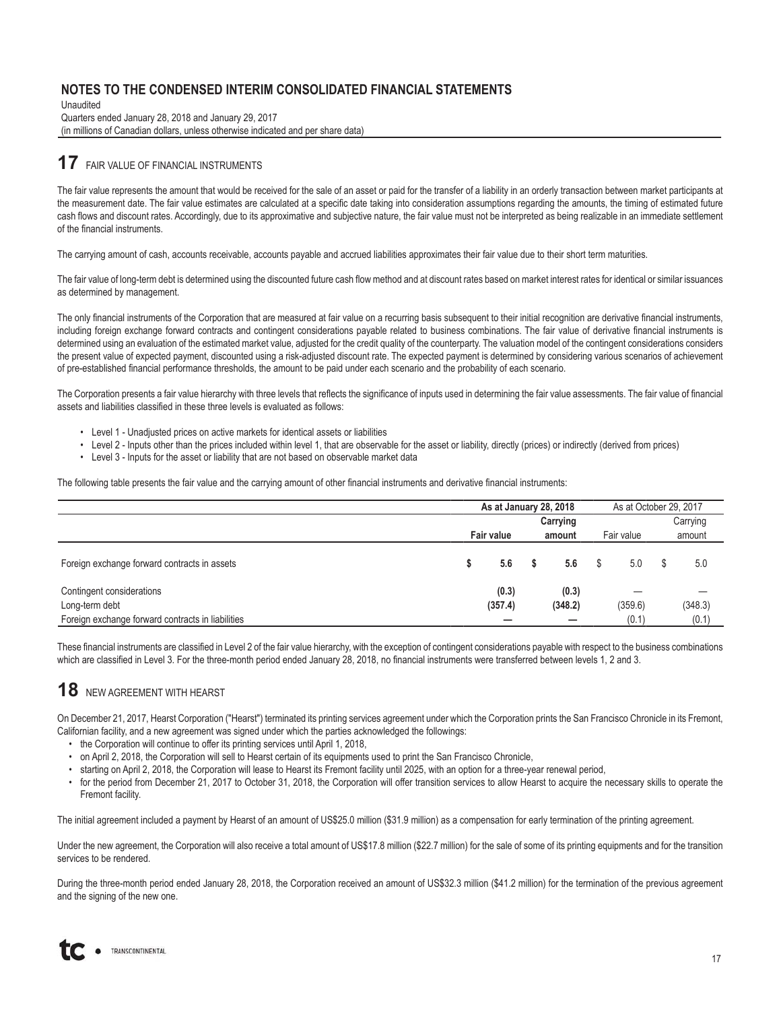Unaudited Quarters ended January 28, 2018 and January 29, 2017 (in millions of Canadian dollars, unless otherwise indicated and per share data)

### **17** FAIR VALUE OF FINANCIAL INSTRUMENTS

The fair value represents the amount that would be received for the sale of an asset or paid for the transfer of a liability in an orderly transaction between market participants at the measurement date. The fair value estimates are calculated at a specific date taking into consideration assumptions regarding the amounts, the timing of estimated future cash flows and discount rates. Accordingly, due to its approximative and subjective nature, the fair value must not be interpreted as being realizable in an immediate settlement of the financial instruments.

The carrying amount of cash, accounts receivable, accounts payable and accrued liabilities approximates their fair value due to their short term maturities.

The fair value of long-term debt is determined using the discounted future cash flow method and at discount rates based on market interest rates for identical or similar issuances as determined by management.

The only financial instruments of the Corporation that are measured at fair value on a recurring basis subsequent to their initial recognition are derivative financial instruments, including foreign exchange forward contracts and contingent considerations payable related to business combinations. The fair value of derivative financial instruments is determined using an evaluation of the estimated market value, adjusted for the credit quality of the counterparty. The valuation model of the contingent considerations considers the present value of expected payment, discounted using a risk-adjusted discount rate. The expected payment is determined by considering various scenarios of achievement of pre-established financial performance thresholds, the amount to be paid under each scenario and the probability of each scenario.

The Corporation presents a fair value hierarchy with three levels that reflects the significance of inputs used in determining the fair value assessments. The fair value of financial assets and liabilities classified in these three levels is evaluated as follows:

- Level 1 Unadjusted prices on active markets for identical assets or liabilities
- Level 2 Inputs other than the prices included within level 1, that are observable for the asset or liability, directly (prices) or indirectly (derived from prices)
- Level 3 Inputs for the asset or liability that are not based on observable market data

The following table presents the fair value and the carrying amount of other financial instruments and derivative financial instruments:

|                                                   | As at January 28, 2018 |                   |        |                  |            | As at October 29, 2017 |   |          |
|---------------------------------------------------|------------------------|-------------------|--------|------------------|------------|------------------------|---|----------|
|                                                   | Carrying               |                   |        |                  |            |                        |   | Carrying |
|                                                   |                        | <b>Fair value</b> | amount |                  | Fair value |                        |   | amount   |
| Foreign exchange forward contracts in assets      | S                      | 5.6               |        | 5.6              |            | 5.0                    | S | 5.0      |
| Contingent considerations<br>Long-term debt       |                        | (0.3)<br>(357.4)  |        | (0.3)<br>(348.2) |            | (359.6)                |   | (348.3)  |
| Foreign exchange forward contracts in liabilities |                        | -                 |        |                  |            | (0.1)                  |   | (0.1)    |

These financial instruments are classified in Level 2 of the fair value hierarchy, with the exception of contingent considerations payable with respect to the business combinations which are classified in Level 3. For the three-month period ended January 28, 2018, no financial instruments were transferred between levels 1, 2 and 3.

## **18** NEW AGREEMENT WITH HEARST

On December 21, 2017, Hearst Corporation ("Hearst") terminated its printing services agreement under which the Corporation prints the San Francisco Chronicle in its Fremont, Californian facility, and a new agreement was signed under which the parties acknowledged the followings:

- the Corporation will continue to offer its printing services until April 1, 2018,
- on April 2, 2018, the Corporation will sell to Hearst certain of its equipments used to print the San Francisco Chronicle,
- starting on April 2, 2018, the Corporation will lease to Hearst its Fremont facility until 2025, with an option for a three-year renewal period,
- for the period from December 21, 2017 to October 31, 2018, the Corporation will offer transition services to allow Hearst to acquire the necessary skills to operate the Fremont facility.

The initial agreement included a payment by Hearst of an amount of US\$25.0 million (\$31.9 million) as a compensation for early termination of the printing agreement.

Under the new agreement, the Corporation will also receive a total amount of US\$17.8 million (\$22.7 million) for the sale of some of its printing equipments and for the transition services to be rendered.

During the three-month period ended January 28, 2018, the Corporation received an amount of US\$32.3 million (\$41.2 million) for the termination of the previous agreement and the signing of the new one.